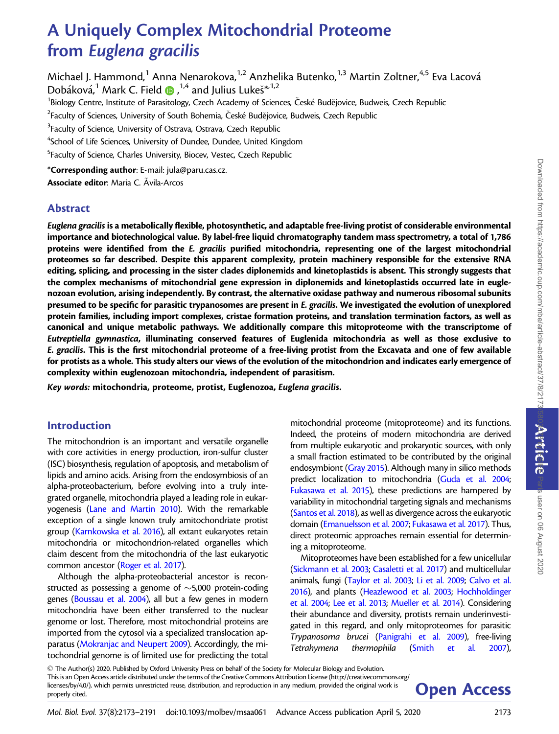Paris user on 06 August 2020

# A Uniquely Complex Mitochondrial Proteome from Euglena gracilis

Michael J. Hammond,<sup>1</sup> Anna Nenarokova,<sup>1,2</sup> Anzhelika Butenko,<sup>1,3</sup> Martin Zoltner,<sup>4,5</sup> Eva Lacová Dobáková, $^1$  Mark C. Field  $\textcolor{red}{\bullet}$  ,  $^{1,4}$  and Julius Lukeš $^{*\!-\!1,2}$ <sup>1</sup>Biology Centre, Institute of Parasitology, Czech Academy of Sciences, České Budějovice, Budweis, Czech Republic  $^2$ Faculty of Sciences, University of South Bohemia, České Budějovice, Budweis, Czech Republic  $3$ Faculty of Science, University of Ostrava, Ostrava, Czech Republic <sup>4</sup>School of Life Sciences, University of Dundee, Dundee, United Kingdom <sup>5</sup>Faculty of Science, Charles University, Biocev, Vestec, Czech Republic \*Corresponding author: E-mail: jula@paru.cas.cz. Associate editor: Maria C. Avila-Arcos

# Abstract

Euglena gracilis is a metabolically flexible, photosynthetic, and adaptable free-living protist of considerable environmental importance and biotechnological value. By label-free liquid chromatography tandem mass spectrometry, a total of 1,786 proteins were identified from the E. gracilis purified mitochondria, representing one of the largest mitochondrial proteomes so far described. Despite this apparent complexity, protein machinery responsible for the extensive RNA editing, splicing, and processing in the sister clades diplonemids and kinetoplastids is absent. This strongly suggests that the complex mechanisms of mitochondrial gene expression in diplonemids and kinetoplastids occurred late in euglenozoan evolution, arising independently. By contrast, the alternative oxidase pathway and numerous ribosomal subunits presumed to be specific for parasitic trypanosomes are present in E. gracilis. We investigated the evolution of unexplored protein families, including import complexes, cristae formation proteins, and translation termination factors, as well as canonical and unique metabolic pathways. We additionally compare this mitoproteome with the transcriptome of Eutreptiella gymnastica, illuminating conserved features of Euglenida mitochondria as well as those exclusive to E. gracilis. This is the first mitochondrial proteome of a free-living protist from the Excavata and one of few available for protists as a whole. This study alters our views of the evolution of the mitochondrion and indicates early emergence of complexity within euglenozoan mitochondria, independent of parasitism.

Key words: mitochondria, proteome, protist, Euglenozoa, Euglena gracilis.

# Introduction

The mitochondrion is an important and versatile organelle with core activities in energy production, iron-sulfur cluster (ISC) biosynthesis, regulation of apoptosis, and metabolism of lipids and amino acids. Arising from the endosymbiosis of an alpha-proteobacterium, before evolving into a truly integrated organelle, mitochondria played a leading role in eukaryogenesis [\(Lane and Martin 2010](#page-17-0)). With the remarkable exception of a single known truly amitochondriate protist group [\(Karnkowska et al. 2016\)](#page-16-0), all extant eukaryotes retain mitochondria or mitochondrion-related organelles which claim descent from the mitochondria of the last eukaryotic common ancestor [\(Roger et al. 2017](#page-17-0)).

Although the alpha-proteobacterial ancestor is reconstructed as possessing a genome of  $\sim$ 5,000 protein-coding genes [\(Boussau et al. 2004](#page-15-0)), all but a few genes in modern mitochondria have been either transferred to the nuclear genome or lost. Therefore, most mitochondrial proteins are imported from the cytosol via a specialized translocation apparatus [\(Mokranjac and Neupert 2009](#page-17-0)). Accordingly, the mitochondrial genome is of limited use for predicting the total mitochondrial proteome (mitoproteome) and its functions. Indeed, the proteins of modern mitochondria are derived from multiple eukaryotic and prokaryotic sources, with only a small fraction estimated to be contributed by the original endosymbiont ([Gray 2015](#page-16-0)). Although many in silico methods predict localization to mitochondria [\(Guda et al. 2004;](#page-16-0) [Fukasawa et al. 2015](#page-16-0)), these predictions are hampered by variability in mitochondrial targeting signals and mechanisms [\(Santos et al. 2018\)](#page-18-0), as well as divergence across the eukaryotic domain [\(Emanuelsson et al. 2007;](#page-16-0) [Fukasawa et al. 2017\)](#page-16-0). Thus, direct proteomic approaches remain essential for determining a mitoproteome.

Mitoproteomes have been established for a few unicellular [\(Sickmann et al. 2003;](#page-18-0) [Casaletti et al. 2017\)](#page-15-0) and multicellular animals, fungi [\(Taylor et al. 2003;](#page-18-0) [Li et al. 2009;](#page-17-0) [Calvo et al.](#page-15-0) [2016\)](#page-15-0), and plants ([Heazlewood et al. 2003;](#page-16-0) [Hochholdinger](#page-16-0) [et al. 2004;](#page-16-0) [Lee et al. 2013;](#page-17-0) [Mueller et al. 2014](#page-17-0)). Considering their abundance and diversity, protists remain underinvestigated in this regard, and only mitoproteomes for parasitic Trypanosoma brucei [\(Panigrahi et al. 2009\)](#page-17-0), free-living Tetrahymena thermophila [\(Smith et al. 2007\)](#page-18-0),

- The Author(s) 2020. Published by Oxford University Press on behalf of the Society for Molecular Biology and Evolution. This is an Open Access article distributed under the terms of the Creative Commons Attribution License (http://creativecommons.org/ licenses/by/4.0/), which permits unrestricted reuse, distribution, and reproduction in any medium, provided the original work is **Open Access**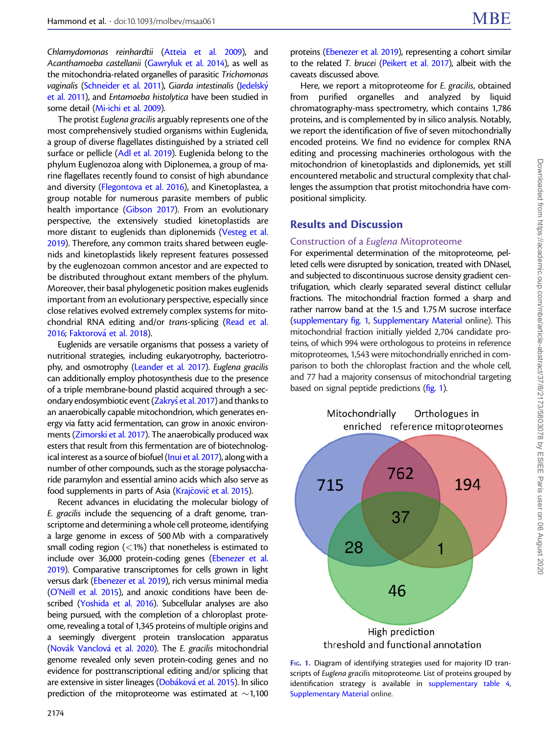Chlamydomonas reinhardtii [\(Atteia et al. 2009\)](#page-15-0), and Acanthamoeba castellanii [\(Gawryluk et al. 2014](#page-16-0)), as well as the mitochondria-related organelles of parasitic Trichomonas vaginalis ([Schneider et al. 2011](#page-18-0)), Giarda intestinalis [\(Jedelsk](#page-16-0)ý [et al. 2011\)](#page-16-0), and Entamoeba histolytica have been studied in some detail [\(Mi-ichi et al. 2009](#page-17-0)).

The protist Euglena gracilis arguably represents one of the most comprehensively studied organisms within Euglenida, a group of diverse flagellates distinguished by a striated cell surface or pellicle ([Adl et al. 2019\)](#page-15-0). Euglenida belong to the phylum Euglenozoa along with Diplonemea, a group of marine flagellates recently found to consist of high abundance and diversity [\(Flegontova et al. 2016](#page-16-0)), and Kinetoplastea, a group notable for numerous parasite members of public health importance [\(Gibson 2017\)](#page-16-0). From an evolutionary perspective, the extensively studied kinetoplastids are more distant to euglenids than diplonemids [\(Vesteg et al.](#page-18-0) [2019](#page-18-0)). Therefore, any common traits shared between euglenids and kinetoplastids likely represent features possessed by the euglenozoan common ancestor and are expected to be distributed throughout extant members of the phylum. Moreover, their basal phylogenetic position makes euglenids important from an evolutionary perspective, especially since close relatives evolved extremely complex systems for mitochondrial RNA editing and/or trans-splicing ([Read et al.](#page-17-0) [2016](#page-17-0); [Faktorov](#page-16-0)á et al. 2018).

Euglenids are versatile organisms that possess a variety of nutritional strategies, including eukaryotrophy, bacteriotrophy, and osmotrophy [\(Leander et al. 2017\)](#page-17-0). Euglena gracilis can additionally employ photosynthesis due to the presence of a triple membrane-bound plastid acquired through a secondary endosymbiotic event (<mark>Zakryś [et al. 2017\)](#page-18-0)</mark> and thanks to an anaerobically capable mitochondrion, which generates energy via fatty acid fermentation, can grow in anoxic environments [\(Zimorski et al. 2017](#page-18-0)). The anaerobically produced wax esters that result from this fermentation are of biotechnological interest as a source of biofuel ([Inui et al. 2017\)](#page-16-0), along with a number of other compounds, such as the storage polysaccharide paramylon and essential amino acids which also serve as food supplements in parts of Asia [\(Kraj](#page-17-0)čovič [et al. 2015\)](#page-17-0).

Recent advances in elucidating the molecular biology of E. gracilis include the sequencing of a draft genome, transcriptome and determining a whole cell proteome, identifying a large genome in excess of 500 Mb with a comparatively small coding region  $(<1%)$  that nonetheless is estimated to include over 36,000 protein-coding genes [\(Ebenezer et al.](#page-15-0) [2019\)](#page-15-0). Comparative transcriptomes for cells grown in light versus dark ([Ebenezer et al. 2019](#page-15-0)), rich versus minimal media ([O'Neill et al. 2015](#page-17-0)), and anoxic conditions have been described [\(Yoshida et al. 2016\)](#page-18-0). Subcellular analyses are also being pursued, with the completion of a chloroplast proteome, revealing a total of 1,345 proteins of multiple origins and a seemingly divergent protein translocation apparatus ([Nov](#page-17-0)ák Vanclová et al. 2020). The E. gracilis mitochondrial genome revealed only seven protein-coding genes and no evidence for posttranscriptional editing and/or splicing that are extensive in sister lineages (<mark>Dobáková [et al. 2015\)](#page-15-0)</mark>. In silico prediction of the mitoproteome was estimated at  $\sim$ 1,100

proteins [\(Ebenezer et al. 2019](#page-15-0)), representing a cohort similar to the related T. brucei [\(Peikert et al. 2017](#page-17-0)), albeit with the caveats discussed above.

Here, we report a mitoproteome for E. gracilis, obtained from purified organelles and analyzed by liquid chromatography-mass spectrometry, which contains 1,786 proteins, and is complemented by in silico analysis. Notably, we report the identification of five of seven mitochondrially encoded proteins. We find no evidence for complex RNA editing and processing machineries orthologous with the mitochondrion of kinetoplastids and diplonemids, yet still encountered metabolic and structural complexity that challenges the assumption that protist mitochondria have compositional simplicity.

# Results and Discussion

#### Construction of a Euglena Mitoproteome

For experimental determination of the mitoproteome, pelleted cells were disrupted by sonication, treated with DNaseI, and subjected to discontinuous sucrose density gradient centrifugation, which clearly separated several distinct cellular fractions. The mitochondrial fraction formed a sharp and rather narrow band at the 1.5 and 1.75 M sucrose interface [\(supplementary fig. 1,](https://academic.oup.com/mbe/article-lookup/doi/10.1093/molbev/msaa061#supplementary-data) [Supplementary Material](https://academic.oup.com/mbe/article-lookup/doi/10.1093/molbev/msaa061#supplementary-data) online). This mitochondrial fraction initially yielded 2,704 candidate proteins, of which 994 were orthologous to proteins in reference mitoproteomes, 1,543 were mitochondrially enriched in comparison to both the chloroplast fraction and the whole cell, and 77 had a majority consensus of mitochondrial targeting based on signal peptide predictions (fig. 1).



FIG. 1. Diagram of identifying strategies used for majority ID transcripts of Euglena gracilis mitoproteome. List of proteins grouped by identification strategy is available in [supplementary table 4](https://academic.oup.com/mbe/article-lookup/doi/10.1093/molbev/msaa061#supplementary-data), [Supplementary Material](https://academic.oup.com/mbe/article-lookup/doi/10.1093/molbev/msaa061#supplementary-data) online.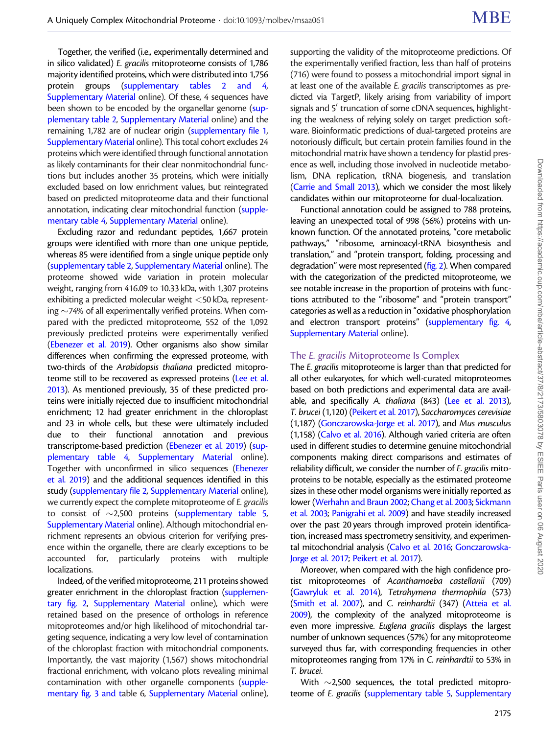Together, the verified (i.e., experimentally determined and in silico validated) E. gracilis mitoproteome consists of 1,786 majority identified proteins, which were distributed into 1,756 protein groups [\(supplementary tables 2 and 4,](https://academic.oup.com/mbe/article-lookup/doi/10.1093/molbev/msaa061#supplementary-data) [Supplementary Material](https://academic.oup.com/mbe/article-lookup/doi/10.1093/molbev/msaa061#supplementary-data) online). Of these, 4 sequences have been shown to be encoded by the organellar genome [\(sup](https://academic.oup.com/mbe/article-lookup/doi/10.1093/molbev/msaa061#supplementary-data)[plementary table 2,](https://academic.oup.com/mbe/article-lookup/doi/10.1093/molbev/msaa061#supplementary-data) [Supplementary Material](https://academic.oup.com/mbe/article-lookup/doi/10.1093/molbev/msaa061#supplementary-data) online) and the remaining 1,782 are of nuclear origin [\(supplementary file 1,](https://academic.oup.com/mbe/article-lookup/doi/10.1093/molbev/msaa061#supplementary-data) [Supplementary Material](https://academic.oup.com/mbe/article-lookup/doi/10.1093/molbev/msaa061#supplementary-data) online). This total cohort excludes 24 proteins which were identified through functional annotation as likely contaminants for their clear nonmitochondrial functions but includes another 35 proteins, which were initially excluded based on low enrichment values, but reintegrated based on predicted mitoproteome data and their functional annotation, indicating clear mitochondrial function [\(supple](https://academic.oup.com/mbe/article-lookup/doi/10.1093/molbev/msaa061#supplementary-data)[mentary table 4](https://academic.oup.com/mbe/article-lookup/doi/10.1093/molbev/msaa061#supplementary-data), [Supplementary Material](https://academic.oup.com/mbe/article-lookup/doi/10.1093/molbev/msaa061#supplementary-data) online).

Excluding razor and redundant peptides, 1,667 protein groups were identified with more than one unique peptide, whereas 85 were identified from a single unique peptide only ([supplementary table 2,](https://academic.oup.com/mbe/article-lookup/doi/10.1093/molbev/msaa061#supplementary-data) [Supplementary Material](https://academic.oup.com/mbe/article-lookup/doi/10.1093/molbev/msaa061#supplementary-data) online). The proteome showed wide variation in protein molecular weight, ranging from 416.09 to 10.33 kDa, with 1,307 proteins exhibiting a predicted molecular weight <50 kDa, representing  $\sim$ 74% of all experimentally verified proteins. When compared with the predicted mitoproteome, 552 of the 1,092 previously predicted proteins were experimentally verified ([Ebenezer et al. 2019\)](#page-15-0). Other organisms also show similar differences when confirming the expressed proteome, with two-thirds of the Arabidopsis thaliana predicted mitopro-teome still to be recovered as expressed proteins ([Lee et al.](#page-17-0) [2013\)](#page-17-0). As mentioned previously, 35 of these predicted proteins were initially rejected due to insufficient mitochondrial enrichment; 12 had greater enrichment in the chloroplast and 23 in whole cells, but these were ultimately included due to their functional annotation and previous transcriptome-based prediction [\(Ebenezer et al. 2019](#page-15-0)) [\(sup](https://academic.oup.com/mbe/article-lookup/doi/10.1093/molbev/msaa061#supplementary-data)[plementary table 4,](https://academic.oup.com/mbe/article-lookup/doi/10.1093/molbev/msaa061#supplementary-data) [Supplementary Material](https://academic.oup.com/mbe/article-lookup/doi/10.1093/molbev/msaa061#supplementary-data) online). Together with unconfirmed in silico sequences [\(Ebenezer](#page-15-0) [et al. 2019](#page-15-0)) and the additional sequences identified in this study [\(supplementary file 2](https://academic.oup.com/mbe/article-lookup/doi/10.1093/molbev/msaa061#supplementary-data), [Supplementary Material](https://academic.oup.com/mbe/article-lookup/doi/10.1093/molbev/msaa061#supplementary-data) online), we currently expect the complete mitoproteome of E. gracilis to consist of  $\sim$ 2,500 proteins [\(supplementary table 5,](https://academic.oup.com/mbe/article-lookup/doi/10.1093/molbev/msaa061#supplementary-data) [Supplementary Material](https://academic.oup.com/mbe/article-lookup/doi/10.1093/molbev/msaa061#supplementary-data) online). Although mitochondrial enrichment represents an obvious criterion for verifying presence within the organelle, there are clearly exceptions to be accounted for, particularly proteins with multiple localizations.

Indeed, of the verified mitoproteome, 211 proteins showed greater enrichment in the chloroplast fraction ([supplemen](https://academic.oup.com/mbe/article-lookup/doi/10.1093/molbev/msaa061#supplementary-data)[tary fig. 2](https://academic.oup.com/mbe/article-lookup/doi/10.1093/molbev/msaa061#supplementary-data), [Supplementary Material](https://academic.oup.com/mbe/article-lookup/doi/10.1093/molbev/msaa061#supplementary-data) online), which were retained based on the presence of orthologs in reference mitoproteomes and/or high likelihood of mitochondrial targeting sequence, indicating a very low level of contamination of the chloroplast fraction with mitochondrial components. Importantly, the vast majority (1,567) shows mitochondrial fractional enrichment, with volcano plots revealing minimal contamination with other organelle components [\(supple](https://academic.oup.com/mbe/article-lookup/doi/10.1093/molbev/msaa061#supplementary-data)[mentary fig. 3 and ta](https://academic.oup.com/mbe/article-lookup/doi/10.1093/molbev/msaa061#supplementary-data)ble 6, [Supplementary Material](https://academic.oup.com/mbe/article-lookup/doi/10.1093/molbev/msaa061#supplementary-data) online),

supporting the validity of the mitoproteome predictions. Of the experimentally verified fraction, less than half of proteins (716) were found to possess a mitochondrial import signal in at least one of the available E. gracilis transcriptomes as predicted via TargetP, likely arising from variability of import signals and 5' truncation of some cDNA sequences, highlighting the weakness of relying solely on target prediction software. Bioinformatic predictions of dual-targeted proteins are notoriously difficult, but certain protein families found in the mitochondrial matrix have shown a tendency for plastid presence as well, including those involved in nucleotide metabolism, DNA replication, tRNA biogenesis, and translation [\(Carrie and Small 2013\)](#page-15-0), which we consider the most likely candidates within our mitoproteome for dual-localization.

Functional annotation could be assigned to 788 proteins, leaving an unexpected total of 998 (56%) proteins with unknown function. Of the annotated proteins, "core metabolic pathways," "ribosome, aminoacyl-tRNA biosynthesis and translation," and "protein transport, folding, processing and degradation" were most represented ([fig. 2](#page-3-0)). When compared with the categorization of the predicted mitoproteome, we see notable increase in the proportion of proteins with functions attributed to the "ribosome" and "protein transport" categories as well as a reduction in "oxidative phosphorylation and electron transport proteins" [\(supplementary fig. 4,](https://academic.oup.com/mbe/article-lookup/doi/10.1093/molbev/msaa061#supplementary-data) [Supplementary Material](https://academic.oup.com/mbe/article-lookup/doi/10.1093/molbev/msaa061#supplementary-data) online).

#### The E. gracilis Mitoproteome Is Complex

The E. gracilis mitoproteome is larger than that predicted for all other eukaryotes, for which well-curated mitoproteomes based on both predictions and experimental data are avail-able, and specifically A. thaliana (843) ([Lee et al. 2013\)](#page-17-0), T. brucei (1,120) [\(Peikert et al. 2017](#page-17-0)), Saccharomyces cerevisiae (1,187) [\(Gonczarowska-Jorge et al. 2017\)](#page-16-0), and Mus musculus (1,158) ([Calvo et al. 2016](#page-15-0)). Although varied criteria are often used in different studies to determine genuine mitochondrial components making direct comparisons and estimates of reliability difficult, we consider the number of E. gracilis mitoproteins to be notable, especially as the estimated proteome sizes in these other model organisms were initially reported as lower ([Werhahn and Braun 2002](#page-18-0); [Chang et al. 2003;](#page-15-0) [Sickmann](#page-18-0) [et al. 2003](#page-18-0); [Panigrahi et al. 2009](#page-17-0)) and have steadily increased over the past 20 years through improved protein identification, increased mass spectrometry sensitivity, and experimental mitochondrial analysis [\(Calvo et al. 2016](#page-15-0); [Gonczarowska-](#page-16-0)[Jorge et al. 2017](#page-16-0); [Peikert et al. 2017](#page-17-0)).

Moreover, when compared with the high confidence protist mitoproteomes of Acanthamoeba castellanii (709) [\(Gawryluk et al. 2014](#page-16-0)), Tetrahymena thermophila (573) [\(Smith et al. 2007](#page-18-0)), and C. reinhardtii (347) [\(Atteia et al.](#page-15-0) [2009\)](#page-15-0), the complexity of the analyzed mitoproteome is even more impressive. Euglena gracilis displays the largest number of unknown sequences (57%) for any mitoproteome surveyed thus far, with corresponding frequencies in other mitoproteomes ranging from 17% in C. reinhardtii to 53% in T. brucei.

With  $\sim$  2,500 sequences, the total predicted mitoproteome of E. gracilis [\(supplementary table 5](https://academic.oup.com/mbe/article-lookup/doi/10.1093/molbev/msaa061#supplementary-data), [Supplementary](https://academic.oup.com/mbe/article-lookup/doi/10.1093/molbev/msaa061#supplementary-data)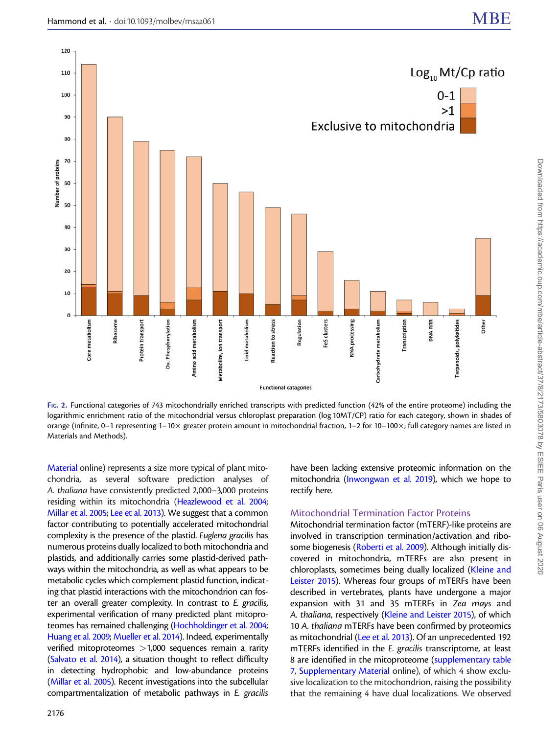<span id="page-3-0"></span>

FIG. 2. Functional categories of 743 mitochondrially enriched transcripts with predicted function (42% of the entire proteome) including the logarithmic enrichment ratio of the mitochondrial versus chloroplast preparation (log 10MT/CP) ratio for each category, shown in shades of orange (infinite, 0–1 representing 1–10 $\times$  greater protein amount in mitochondrial fraction, 1–2 for 10–100 $\times$ ; full category names are listed in Materials and Methods).

[Material](https://academic.oup.com/mbe/article-lookup/doi/10.1093/molbev/msaa061#supplementary-data) online) represents a size more typical of plant mitochondria, as several software prediction analyses of A. thaliana have consistently predicted 2,000–3,000 proteins residing within its mitochondria ([Heazlewood et al. 2004;](#page-16-0) [Millar et al. 2005;](#page-17-0) [Lee et al. 2013\)](#page-17-0). We suggest that a common factor contributing to potentially accelerated mitochondrial complexity is the presence of the plastid. Euglena gracilis has numerous proteins dually localized to both mitochondria and plastids, and additionally carries some plastid-derived pathways within the mitochondria, as well as what appears to be metabolic cycles which complement plastid function, indicating that plastid interactions with the mitochondrion can foster an overall greater complexity. In contrast to E. gracilis, experimental verification of many predicted plant mitoproteomes has remained challenging [\(Hochholdinger et al. 2004;](#page-16-0) [Huang et al. 2009;](#page-16-0) [Mueller et al. 2014](#page-17-0)). Indeed, experimentally verified mitoproteomes >1,000 sequences remain a rarity ([Salvato et al. 2014](#page-17-0)), a situation thought to reflect difficulty in detecting hydrophobic and low-abundance proteins ([Millar et al. 2005](#page-17-0)). Recent investigations into the subcellular compartmentalization of metabolic pathways in E. gracilis

2176

have been lacking extensive proteomic information on the mitochondria [\(Inwongwan et al. 2019\)](#page-16-0), which we hope to rectify here.

#### Mitochondrial Termination Factor Proteins

Mitochondrial termination factor (mTERF)-like proteins are involved in transcription termination/activation and ribosome biogenesis [\(Roberti et al. 2009\)](#page-17-0). Although initially discovered in mitochondria, mTERFs are also present in chloroplasts, sometimes being dually localized ([Kleine and](#page-16-0) [Leister 2015](#page-16-0)). Whereas four groups of mTERFs have been described in vertebrates, plants have undergone a major expansion with 31 and 35 mTERFs in Zea mays and A. thaliana, respectively ([Kleine and Leister 2015](#page-16-0)), of which 10 A. thaliana mTERFs have been confirmed by proteomics as mitochondrial [\(Lee et al. 2013](#page-17-0)). Of an unprecedented 192 mTERFs identified in the E. gracilis transcriptome, at least 8 are identified in the mitoproteome ([supplementary table](https://academic.oup.com/mbe/article-lookup/doi/10.1093/molbev/msaa061#supplementary-data) [7,](https://academic.oup.com/mbe/article-lookup/doi/10.1093/molbev/msaa061#supplementary-data) [Supplementary Material](https://academic.oup.com/mbe/article-lookup/doi/10.1093/molbev/msaa061#supplementary-data) online), of which 4 show exclusive localization to the mitochondrion, raising the possibility that the remaining 4 have dual localizations. We observed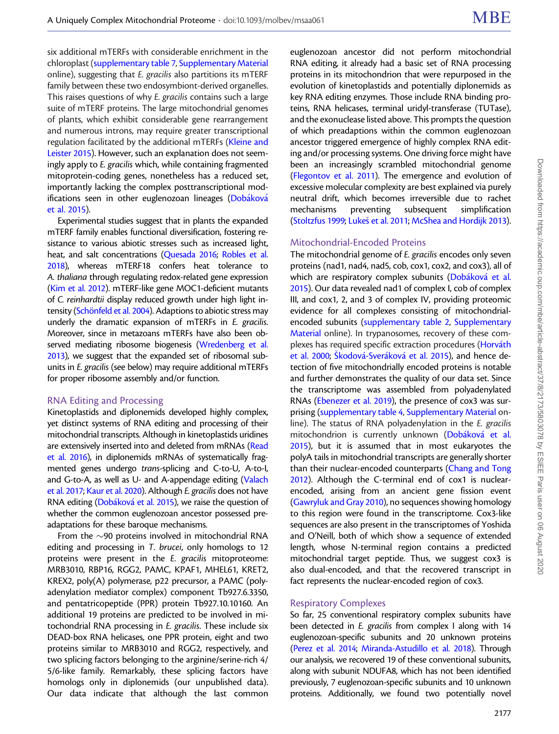six additional mTERFs with considerable enrichment in the chloroplast ([supplementary table 7](https://academic.oup.com/mbe/article-lookup/doi/10.1093/molbev/msaa061#supplementary-data), [Supplementary Material](https://academic.oup.com/mbe/article-lookup/doi/10.1093/molbev/msaa061#supplementary-data) online), suggesting that E. gracilis also partitions its mTERF family between these two endosymbiont-derived organelles. This raises questions of why E. gracilis contains such a large suite of mTERF proteins. The large mitochondrial genomes of plants, which exhibit considerable gene rearrangement and numerous introns, may require greater transcriptional regulation facilitated by the additional mTERFs [\(Kleine and](#page-16-0) [Leister 2015](#page-16-0)). However, such an explanation does not seemingly apply to E. gracilis which, while containing fragmented mitoprotein-coding genes, nonetheless has a reduced set, importantly lacking the complex posttranscriptional mod-ifications seen in other euglenozoan lineages (<mark>[Dob](#page-15-0)áková</mark> [et al. 2015](#page-15-0)).

Experimental studies suggest that in plants the expanded mTERF family enables functional diversification, fostering resistance to various abiotic stresses such as increased light, heat, and salt concentrations ([Quesada 2016;](#page-17-0) [Robles et al.](#page-17-0) [2018\)](#page-17-0), whereas mTERF18 confers heat tolerance to A. thaliana through regulating redox-related gene expression ([Kim et al. 2012](#page-16-0)). mTERF-like gene MOC1-deficient mutants of C. reinhardtii display reduced growth under high light intensity (Schönfeld et al. 2004). Adaptions to abiotic stress may underly the dramatic expansion of mTERFs in E. gracilis. Moreover, since in metazoans mTERFs have also been observed mediating ribosome biogenesis [\(Wredenberg et al.](#page-18-0) [2013\)](#page-18-0), we suggest that the expanded set of ribosomal subunits in E. gracilis (see below) may require additional mTERFs for proper ribosome assembly and/or function.

#### RNA Editing and Processing

Kinetoplastids and diplonemids developed highly complex, yet distinct systems of RNA editing and processing of their mitochondrial transcripts. Although in kinetoplastids uridines are extensively inserted into and deleted from mRNAs ([Read](#page-17-0) [et al. 2016\)](#page-17-0), in diplonemids mRNAs of systematically fragmented genes undergo trans-splicing and C-to-U, A-to-I, and G-to-A, as well as U- and A-appendage editing ([Valach](#page-18-0) [et al. 2017;](#page-18-0) [Kaur et al. 2020\)](#page-16-0). Although E. gracilis does not have RNA editing [\(Dob](#page-15-0)áková et al. 2015), we raise the question of whether the common euglenozoan ancestor possessed preadaptations for these baroque mechanisms.

From the  $\sim$ 90 proteins involved in mitochondrial RNA editing and processing in T. brucei, only homologs to 12 proteins were present in the E. gracilis mitoproteome: MRB3010, RBP16, RGG2, PAMC, KPAF1, MHEL61, KRET2, KREX2, poly(A) polymerase, p22 precursor, a PAMC (polyadenylation mediator complex) component Tb927.6.3350, and pentatricopeptide (PPR) protein Tb927.10.10160. An additional 19 proteins are predicted to be involved in mitochondrial RNA processing in E. gracilis. These include six DEAD-box RNA helicases, one PPR protein, eight and two proteins similar to MRB3010 and RGG2, respectively, and two splicing factors belonging to the arginine/serine-rich 4/ 5/6-like family. Remarkably, these splicing factors have homologs only in diplonemids (our unpublished data). Our data indicate that although the last common

euglenozoan ancestor did not perform mitochondrial RNA editing, it already had a basic set of RNA processing proteins in its mitochondrion that were repurposed in the evolution of kinetoplastids and potentially diplonemids as key RNA editing enzymes. Those include RNA binding proteins, RNA helicases, terminal uridyl-transferase (TUTase), and the exonuclease listed above. This prompts the question of which preadaptions within the common euglenozoan ancestor triggered emergence of highly complex RNA editing and/or processing systems. One driving force might have been an increasingly scrambled mitochondrial genome [\(Flegontov et al. 2011](#page-16-0)). The emergence and evolution of excessive molecular complexity are best explained via purely neutral drift, which becomes irreversible due to rachet mechanisms preventing subsequent simplification [\(Stoltzfus 1999](#page-18-0); [Luke](#page-17-0)[s et al. 2011;](#page-17-0) [McShea and Hordijk 2013](#page-17-0)).

#### Mitochondrial-Encoded Proteins

The mitochondrial genome of E. gracilis encodes only seven proteins (nad1, nad4, nad5, cob, cox1, cox2, and cox3), all of which are respiratory complex subunits ([Dob](#page-15-0)áková [et al.](#page-15-0) [2015](#page-15-0)). Our data revealed nad1 of complex I, cob of complex III, and cox1, 2, and 3 of complex IV, providing proteomic evidence for all complexes consisting of mitochondrialencoded subunits ([supplementary table 2,](https://academic.oup.com/mbe/article-lookup/doi/10.1093/molbev/msaa061#supplementary-data) [Supplementary](https://academic.oup.com/mbe/article-lookup/doi/10.1093/molbev/msaa061#supplementary-data) [Material](https://academic.oup.com/mbe/article-lookup/doi/10.1093/molbev/msaa061#supplementary-data) online). In trypanosomes, recovery of these com-plexes has required specific extraction procedures ([Horv](#page-16-0)á[th](#page-16-0) [et al. 2000](#page-16-0); Š[kodov](#page-18-0)á[-Sver](#page-18-0)á[kov](#page-18-0)á [et al. 2015\)](#page-18-0), and hence detection of five mitochondrially encoded proteins is notable and further demonstrates the quality of our data set. Since the transcriptome was assembled from polyadenylated RNAs ([Ebenezer et al. 2019](#page-15-0)), the presence of cox3 was surprising [\(supplementary table 4](https://academic.oup.com/mbe/article-lookup/doi/10.1093/molbev/msaa061#supplementary-data), [Supplementary Material](https://academic.oup.com/mbe/article-lookup/doi/10.1093/molbev/msaa061#supplementary-data) online). The status of RNA polyadenylation in the E. gracilis mitochondrion is currently unknown [\(Dob](#page-15-0)á[kov](#page-15-0)á et al. [2015](#page-15-0)), but it is assumed that in most eukaryotes the polyA tails in mitochondrial transcripts are generally shorter than their nuclear-encoded counterparts ([Chang and Tong](#page-15-0) [2012](#page-15-0)). Although the C-terminal end of cox1 is nuclearencoded, arising from an ancient gene fission event [\(Gawryluk and Gray 2010](#page-16-0)), no sequences showing homology to this region were found in the transcriptome. Cox3-like sequences are also present in the transcriptomes of Yoshida and O'Neill, both of which show a sequence of extended length, whose N-terminal region contains a predicted mitochondrial target peptide. Thus, we suggest cox3 is also dual-encoded, and that the recovered transcript in fact represents the nuclear-encoded region of cox3.

#### Respiratory Complexes

So far, 25 conventional respiratory complex subunits have been detected in E. gracilis from complex I along with 14 euglenozoan-specific subunits and 20 unknown proteins [\(Perez et al. 2014](#page-17-0); [Miranda-Astudillo et al. 2018\)](#page-17-0). Through our analysis, we recovered 19 of these conventional subunits, along with subunit NDUFA8, which has not been identified previously, 7 euglenozoan-specific subunits and 10 unknown proteins. Additionally, we found two potentially novel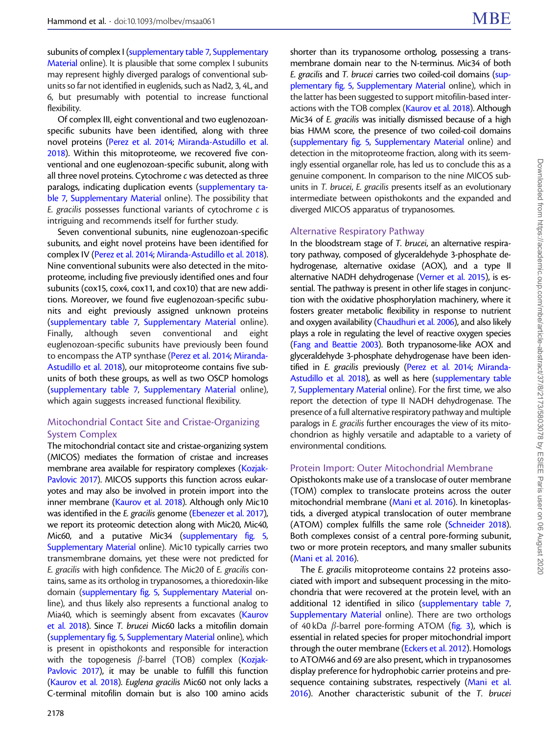subunits of complex I ([supplementary table 7](https://academic.oup.com/mbe/article-lookup/doi/10.1093/molbev/msaa061#supplementary-data), [Supplementary](https://academic.oup.com/mbe/article-lookup/doi/10.1093/molbev/msaa061#supplementary-data) [Material](https://academic.oup.com/mbe/article-lookup/doi/10.1093/molbev/msaa061#supplementary-data) online). It is plausible that some complex I subunits may represent highly diverged paralogs of conventional subunits so far not identified in euglenids, such as Nad2, 3, 4L, and 6, but presumably with potential to increase functional flexibility.

Of complex III, eight conventional and two euglenozoanspecific subunits have been identified, along with three novel proteins ([Perez et al. 2014;](#page-17-0) [Miranda-Astudillo et al.](#page-17-0) [2018](#page-17-0)). Within this mitoproteome, we recovered five conventional and one euglenozoan-specific subunit, along with all three novel proteins. Cytochrome c was detected as three paralogs, indicating duplication events [\(supplementary ta](https://academic.oup.com/mbe/article-lookup/doi/10.1093/molbev/msaa061#supplementary-data)[ble 7](https://academic.oup.com/mbe/article-lookup/doi/10.1093/molbev/msaa061#supplementary-data), [Supplementary Material](https://academic.oup.com/mbe/article-lookup/doi/10.1093/molbev/msaa061#supplementary-data) online). The possibility that E. gracilis possesses functional variants of cytochrome c is intriguing and recommends itself for further study.

Seven conventional subunits, nine euglenozoan-specific subunits, and eight novel proteins have been identified for complex IV ([Perez et al. 2014](#page-17-0); [Miranda-Astudillo et al. 2018\)](#page-17-0). Nine conventional subunits were also detected in the mitoproteome, including five previously identified ones and four subunits (cox15, cox4, cox11, and cox10) that are new additions. Moreover, we found five euglenozoan-specific subunits and eight previously assigned unknown proteins ([supplementary table 7,](https://academic.oup.com/mbe/article-lookup/doi/10.1093/molbev/msaa061#supplementary-data) [Supplementary Material](https://academic.oup.com/mbe/article-lookup/doi/10.1093/molbev/msaa061#supplementary-data) online). Finally, although seven conventional and eight euglenozoan-specific subunits have previously been found to encompass the ATP synthase [\(Perez et al. 2014](#page-17-0); [Miranda-](#page-17-0)[Astudillo et al. 2018\)](#page-17-0), our mitoproteome contains five subunits of both these groups, as well as two OSCP homologs ([supplementary table 7,](https://academic.oup.com/mbe/article-lookup/doi/10.1093/molbev/msaa061#supplementary-data) [Supplementary Material](https://academic.oup.com/mbe/article-lookup/doi/10.1093/molbev/msaa061#supplementary-data) online), which again suggests increased functional flexibility.

# Mitochondrial Contact Site and Cristae-Organizing System Complex

The mitochondrial contact site and cristae-organizing system (MICOS) mediates the formation of cristae and increases membrane area available for respiratory complexes [\(Kozjak-](#page-17-0)[Pavlovic 2017\)](#page-17-0). MICOS supports this function across eukaryotes and may also be involved in protein import into the inner membrane ([Kaurov et al. 2018](#page-16-0)). Although only Mic10 was identified in the *E. gracilis* genome ([Ebenezer et al. 2017\)](#page-15-0), we report its proteomic detection along with Mic20, Mic40, Mic60, and a putative Mic34 ([supplementary fig. 5,](https://academic.oup.com/mbe/article-lookup/doi/10.1093/molbev/msaa061#supplementary-data) [Supplementary Material](https://academic.oup.com/mbe/article-lookup/doi/10.1093/molbev/msaa061#supplementary-data) online). Mic10 typically carries two transmembrane domains, yet these were not predicted for E. gracilis with high confidence. The Mic20 of E. gracilis contains, same as its ortholog in trypanosomes, a thioredoxin-like domain [\(supplementary fig. 5](https://academic.oup.com/mbe/article-lookup/doi/10.1093/molbev/msaa061#supplementary-data), [Supplementary Material](https://academic.oup.com/mbe/article-lookup/doi/10.1093/molbev/msaa061#supplementary-data) online), and thus likely also represents a functional analog to Mia40, which is seemingly absent from excavates [\(Kaurov](#page-16-0) [et al. 2018\)](#page-16-0). Since T. brucei Mic60 lacks a mitofilin domain ([supplementary fig. 5](https://academic.oup.com/mbe/article-lookup/doi/10.1093/molbev/msaa061#supplementary-data), [Supplementary Material](https://academic.oup.com/mbe/article-lookup/doi/10.1093/molbev/msaa061#supplementary-data) online), which is present in opisthokonts and responsible for interaction with the topogenesis  $\beta$ -barrel (TOB) complex [\(Kozjak-](#page-17-0)[Pavlovic 2017\)](#page-17-0), it may be unable to fulfill this function ([Kaurov et al. 2018\)](#page-16-0). Euglena gracilis Mic60 not only lacks a C-terminal mitofilin domain but is also 100 amino acids shorter than its trypanosome ortholog, possessing a transmembrane domain near to the N-terminus. Mic34 of both E. gracilis and T. brucei carries two coiled-coil domains ([sup](https://academic.oup.com/mbe/article-lookup/doi/10.1093/molbev/msaa061#supplementary-data)[plementary fig. 5](https://academic.oup.com/mbe/article-lookup/doi/10.1093/molbev/msaa061#supplementary-data), [Supplementary Material](https://academic.oup.com/mbe/article-lookup/doi/10.1093/molbev/msaa061#supplementary-data) online), which in the latter has been suggested to support mitofilin-based interactions with the TOB complex [\(Kaurov et al. 2018\)](#page-16-0). Although Mic34 of E. gracilis was initially dismissed because of a high bias HMM score, the presence of two coiled-coil domains [\(supplementary fig. 5,](https://academic.oup.com/mbe/article-lookup/doi/10.1093/molbev/msaa061#supplementary-data) [Supplementary Material](https://academic.oup.com/mbe/article-lookup/doi/10.1093/molbev/msaa061#supplementary-data) online) and detection in the mitoproteome fraction, along with its seemingly essential organellar role, has led us to conclude this as a genuine component. In comparison to the nine MICOS subunits in T. brucei, E. gracilis presents itself as an evolutionary intermediate between opisthokonts and the expanded and diverged MICOS apparatus of trypanosomes.

## Alternative Respiratory Pathway

In the bloodstream stage of T. brucei, an alternative respiratory pathway, composed of glyceraldehyde 3-phosphate dehydrogenase, alternative oxidase (AOX), and a type II alternative NADH dehydrogenase [\(Verner et al. 2015\)](#page-18-0), is essential. The pathway is present in other life stages in conjunction with the oxidative phosphorylation machinery, where it fosters greater metabolic flexibility in response to nutrient and oxygen availability ([Chaudhuri et al. 2006\)](#page-15-0), and also likely plays a role in regulating the level of reactive oxygen species [\(Fang and Beattie 2003](#page-16-0)). Both trypanosome-like AOX and glyceraldehyde 3-phosphate dehydrogenase have been identified in E. gracilis previously ([Perez et al. 2014](#page-17-0); [Miranda-](#page-17-0)[Astudillo et al. 2018](#page-17-0)), as well as here ([supplementary table](https://academic.oup.com/mbe/article-lookup/doi/10.1093/molbev/msaa061#supplementary-data) [7,](https://academic.oup.com/mbe/article-lookup/doi/10.1093/molbev/msaa061#supplementary-data) [Supplementary Material](https://academic.oup.com/mbe/article-lookup/doi/10.1093/molbev/msaa061#supplementary-data) online). For the first time, we also report the detection of type II NADH dehydrogenase. The presence of a full alternative respiratory pathway and multiple paralogs in E. gracilis further encourages the view of its mitochondrion as highly versatile and adaptable to a variety of environmental conditions.

#### Protein Import: Outer Mitochondrial Membrane

Opisthokonts make use of a translocase of outer membrane (TOM) complex to translocate proteins across the outer mitochondrial membrane [\(Mani et al. 2016](#page-17-0)). In kinetoplastids, a diverged atypical translocation of outer membrane (ATOM) complex fulfills the same role ([Schneider 2018](#page-18-0)). Both complexes consist of a central pore-forming subunit, two or more protein receptors, and many smaller subunits [\(Mani et al. 2016\)](#page-17-0).

The E. gracilis mitoproteome contains 22 proteins associated with import and subsequent processing in the mitochondria that were recovered at the protein level, with an additional 12 identified in silico ([supplementary table 7,](https://academic.oup.com/mbe/article-lookup/doi/10.1093/molbev/msaa061#supplementary-data) [Supplementary Material](https://academic.oup.com/mbe/article-lookup/doi/10.1093/molbev/msaa061#supplementary-data) online). There are two orthologs of 40 kDa  $\beta$ -barrel pore-forming ATOM [\(fig. 3](#page-7-0)), which is essential in related species for proper mitochondrial import through the outer membrane [\(Eckers et al. 2012\)](#page-15-0). Homologs to ATOM46 and 69 are also present, which in trypanosomes display preference for hydrophobic carrier proteins and pre-sequence containing substrates, respectively [\(Mani et al.](#page-17-0) [2016](#page-17-0)). Another characteristic subunit of the T. brucei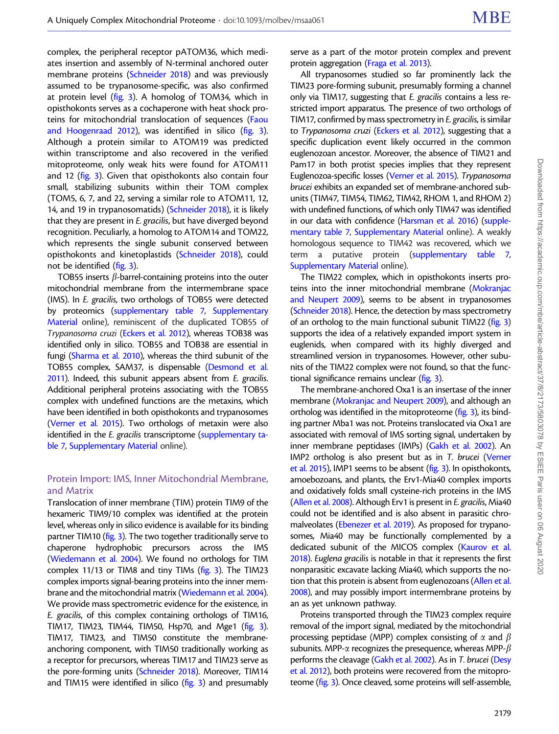complex, the peripheral receptor pATOM36, which mediates insertion and assembly of N-terminal anchored outer membrane proteins [\(Schneider 2018\)](#page-18-0) and was previously assumed to be trypanosome-specific, was also confirmed at protein level [\(fig. 3](#page-7-0)). A homolog of TOM34, which in opisthokonts serves as a cochaperone with heat shock proteins for mitochondrial translocation of sequences [\(Faou](#page-16-0) [and Hoogenraad 2012\)](#page-16-0), was identified in silico [\(fig. 3\)](#page-7-0). Although a protein similar to ATOM19 was predicted within transcriptome and also recovered in the verified mitoproteome, only weak hits were found for ATOM11 and 12 ([fig. 3](#page-7-0)). Given that opisthokonts also contain four small, stabilizing subunits within their TOM complex (TOM5, 6, 7, and 22, serving a similar role to ATOM11, 12, 14, and 19 in trypanosomatids) ([Schneider 2018](#page-18-0)), it is likely that they are present in E. gracilis, but have diverged beyond recognition. Peculiarly, a homolog to ATOM14 and TOM22, which represents the single subunit conserved between opisthokonts and kinetoplastids ([Schneider 2018](#page-18-0)), could not be identified [\(fig. 3\)](#page-7-0).

TOB55 inserts  $\beta$ -barrel-containing proteins into the outer mitochondrial membrane from the intermembrane space (IMS). In E. gracilis, two orthologs of TOB55 were detected by proteomics [\(supplementary table 7,](https://academic.oup.com/mbe/article-lookup/doi/10.1093/molbev/msaa061#supplementary-data) [Supplementary](https://academic.oup.com/mbe/article-lookup/doi/10.1093/molbev/msaa061#supplementary-data) [Material](https://academic.oup.com/mbe/article-lookup/doi/10.1093/molbev/msaa061#supplementary-data) online), reminiscent of the duplicated TOB55 of Trypanosoma cruzi ([Eckers et al. 2012](#page-15-0)), whereas TOB38 was identified only in silico. TOB55 and TOB38 are essential in fungi [\(Sharma et al. 2010](#page-18-0)), whereas the third subunit of the TOB55 complex, SAM37, is dispensable ([Desmond et al.](#page-15-0) [2011\)](#page-15-0). Indeed, this subunit appears absent from E. gracilis. Additional peripheral proteins associating with the TOB55 complex with undefined functions are the metaxins, which have been identified in both opisthokonts and trypanosomes ([Verner et al. 2015](#page-18-0)). Two orthologs of metaxin were also identified in the E. gracilis transcriptome [\(supplementary ta](https://academic.oup.com/mbe/article-lookup/doi/10.1093/molbev/msaa061#supplementary-data)[ble 7](https://academic.oup.com/mbe/article-lookup/doi/10.1093/molbev/msaa061#supplementary-data), [Supplementary Material](https://academic.oup.com/mbe/article-lookup/doi/10.1093/molbev/msaa061#supplementary-data) online).

## Protein Import: IMS, Inner Mitochondrial Membrane, and Matrix

Translocation of inner membrane (TIM) protein TIM9 of the hexameric TIM9/10 complex was identified at the protein level, whereas only in silico evidence is available for its binding partner TIM10 [\(fig. 3\)](#page-7-0). The two together traditionally serve to chaperone hydrophobic precursors across the IMS ([Wiedemann et al. 2004](#page-18-0)). We found no orthologs for TIM complex 11/13 or TIM8 and tiny TIMs ([fig. 3\)](#page-7-0). The TIM23 complex imports signal-bearing proteins into the inner membrane and the mitochondrial matrix [\(Wiedemann et al. 2004\)](#page-18-0). We provide mass spectrometric evidence for the existence, in E. gracilis, of this complex containing orthologs of TIM16, TIM17, TIM23, TIM44, TIM50, Hsp70, and Mge1 [\(fig. 3\)](#page-7-0). TIM17, TIM23, and TIM50 constitute the membraneanchoring component, with TIM50 traditionally working as a receptor for precursors, whereas TIM17 and TIM23 serve as the pore-forming units [\(Schneider 2018](#page-18-0)). Moreover, TIM14 and TIM15 were identified in silico  $(fig. 3)$  $(fig. 3)$  and presumably serve as a part of the motor protein complex and prevent protein aggregation ([Fraga et al. 2013\)](#page-16-0).

All trypanosomes studied so far prominently lack the TIM23 pore-forming subunit, presumably forming a channel only via TIM17, suggesting that E. gracilis contains a less restricted import apparatus. The presence of two orthologs of TIM17, confirmed by mass spectrometry in E. gracilis, is similar to Trypanosoma cruzi [\(Eckers et al. 2012](#page-15-0)), suggesting that a specific duplication event likely occurred in the common euglenozoan ancestor. Moreover, the absence of TIM21 and Pam17 in both protist species implies that they represent Euglenozoa-specific losses ([Verner et al. 2015\)](#page-18-0). Trypanosoma brucei exhibits an expanded set of membrane-anchored subunits (TIM47, TIM54, TIM62, TIM42, RHOM 1, and RHOM 2) with undefined functions, of which only TIM47 was identified in our data with confidence [\(Harsman et al. 2016](#page-16-0)) [\(supple](https://academic.oup.com/mbe/article-lookup/doi/10.1093/molbev/msaa061#supplementary-data)[mentary table 7,](https://academic.oup.com/mbe/article-lookup/doi/10.1093/molbev/msaa061#supplementary-data) [Supplementary Material](https://academic.oup.com/mbe/article-lookup/doi/10.1093/molbev/msaa061#supplementary-data) online). A weakly homologous sequence to TIM42 was recovered, which we term a putative protein [\(supplementary table 7,](https://academic.oup.com/mbe/article-lookup/doi/10.1093/molbev/msaa061#supplementary-data) [Supplementary Material](https://academic.oup.com/mbe/article-lookup/doi/10.1093/molbev/msaa061#supplementary-data) online).

The TIM22 complex, which in opisthokonts inserts proteins into the inner mitochondrial membrane [\(Mokranjac](#page-17-0) [and Neupert 2009\)](#page-17-0), seems to be absent in trypanosomes [\(Schneider 2018\)](#page-18-0). Hence, the detection by mass spectrometry of an ortholog to the main functional subunit TIM22 [\(fig. 3](#page-7-0)) supports the idea of a relatively expanded import system in euglenids, when compared with its highly diverged and streamlined version in trypanosomes. However, other subunits of the TIM22 complex were not found, so that the functional significance remains unclear [\(fig. 3](#page-7-0)).

The membrane-anchored Oxa1 is an insertase of the inner membrane ([Mokranjac and Neupert 2009\)](#page-17-0), and although an ortholog was identified in the mitoproteome [\(fig. 3](#page-7-0)), its binding partner Mba1 was not. Proteins translocated via Oxa1 are associated with removal of IMS sorting signal, undertaken by inner membrane peptidases (IMPs) [\(Gakh et al. 2002\)](#page-16-0). An IMP2 ortholog is also present but as in T. brucei [\(Verner](#page-18-0) [et al. 2015\)](#page-18-0), IMP1 seems to be absent [\(fig. 3\)](#page-7-0). In opisthokonts, amoebozoans, and plants, the Erv1-Mia40 complex imports and oxidatively folds small cysteine-rich proteins in the IMS [\(Allen et al. 2008](#page-15-0)). Although Erv1 is present in E. gracilis, Mia40 could not be identified and is also absent in parasitic chromalveolates ([Ebenezer et al. 2019\)](#page-15-0). As proposed for trypanosomes, Mia40 may be functionally complemented by a dedicated subunit of the MICOS complex [\(Kaurov et al.](#page-16-0) [2018\)](#page-16-0). Euglena gracilis is notable in that it represents the first nonparasitic excavate lacking Mia40, which supports the notion that this protein is absent from euglenozoans ([Allen et al.](#page-15-0) [2008\)](#page-15-0), and may possibly import intermembrane proteins by an as yet unknown pathway.

Proteins transported through the TIM23 complex require removal of the import signal, mediated by the mitochondrial processing peptidase (MPP) complex consisting of  $\alpha$  and  $\beta$ subunits. MPP- $\alpha$  recognizes the presequence, whereas MPP- $\beta$ performs the cleavage [\(Gakh et al. 2002\)](#page-16-0). As in T. brucei [\(Desy](#page-15-0) [et al. 2012](#page-15-0)), both proteins were recovered from the mitoproteome ([fig. 3](#page-7-0)). Once cleaved, some proteins will self-assemble,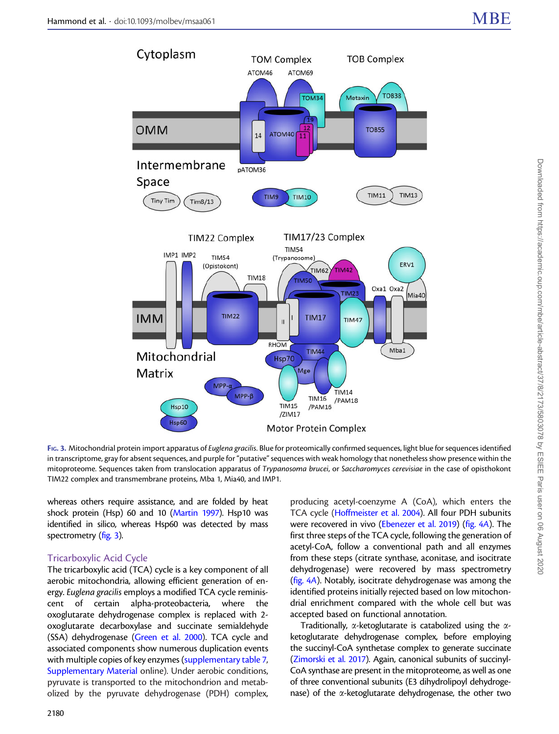<span id="page-7-0"></span>

FIG. 3. Mitochondrial protein import apparatus of Euglena gracilis. Blue for proteomically confirmed sequences, light blue for sequences identified in transcriptome, gray for absent sequences, and purple for "putative" sequences with weak homology that nonetheless show presence within the mitoproteome. Sequences taken from translocation apparatus of Trypanosoma brucei, or Saccharomyces cerevisiae in the case of opisthokont TIM22 complex and transmembrane proteins, Mba 1, Mia40, and IMP1.

whereas others require assistance, and are folded by heat shock protein (Hsp) 60 and 10 [\(Martin 1997](#page-17-0)). Hsp10 was identified in silico, whereas Hsp60 was detected by mass spectrometry (fig. 3).

#### Tricarboxylic Acid Cycle

The tricarboxylic acid (TCA) cycle is a key component of all aerobic mitochondria, allowing efficient generation of energy. Euglena gracilis employs a modified TCA cycle reminiscent of certain alpha-proteobacteria, where the oxoglutarate dehydrogenase complex is replaced with 2 oxoglutarate decarboxylase and succinate semialdehyde (SSA) dehydrogenase [\(Green et al. 2000](#page-16-0)). TCA cycle and associated components show numerous duplication events with multiple copies of key enzymes [\(supplementary table 7,](https://academic.oup.com/mbe/article-lookup/doi/10.1093/molbev/msaa061#supplementary-data) [Supplementary Material](https://academic.oup.com/mbe/article-lookup/doi/10.1093/molbev/msaa061#supplementary-data) online). Under aerobic conditions, pyruvate is transported to the mitochondrion and metabolized by the pyruvate dehydrogenase (PDH) complex,

producing acetyl-coenzyme A (CoA), which enters the TCA cycle [\(Hoffmeister et al. 2004](#page-16-0)). All four PDH subunits were recovered in vivo ([Ebenezer et al. 2019](#page-15-0)) [\(fig. 4](#page-8-0)A). The first three steps of the TCA cycle, following the generation of acetyl-CoA, follow a conventional path and all enzymes from these steps (citrate synthase, aconitase, and isocitrate dehydrogenase) were recovered by mass spectrometry [\(fig. 4](#page-8-0)A). Notably, isocitrate dehydrogenase was among the identified proteins initially rejected based on low mitochondrial enrichment compared with the whole cell but was accepted based on functional annotation.

Traditionally,  $\alpha$ -ketoglutarate is catabolized using the  $\alpha$ ketoglutarate dehydrogenase complex, before employing the succinyl-CoA synthetase complex to generate succinate [\(Zimorski et al. 2017\)](#page-18-0). Again, canonical subunits of succinyl-CoA synthase are present in the mitoproteome, as well as one of three conventional subunits (E3 dihydrolipoyl dehydrogenase) of the  $\alpha$ -ketoglutarate dehydrogenase, the other two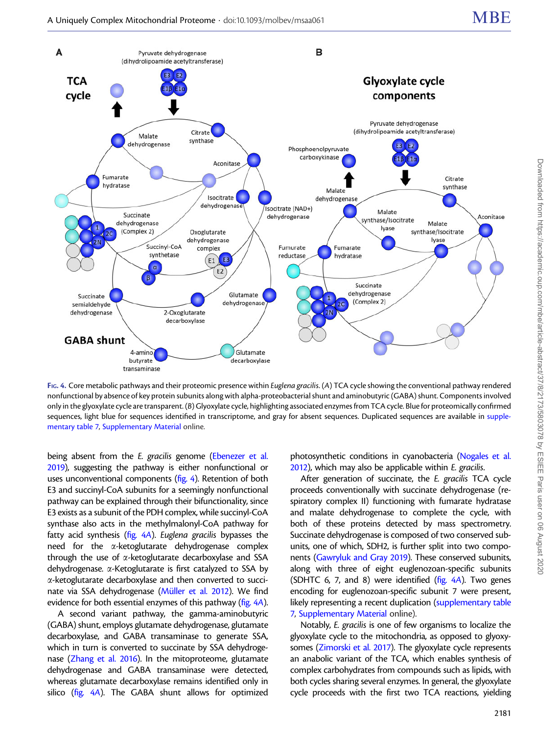<span id="page-8-0"></span>

FIG. 4. Core metabolic pathways and their proteomic presence within Euglena gracilis. (A) TCA cycle showing the conventional pathway rendered nonfunctional by absence of key protein subunits along with alpha-proteobacterial shunt and aminobutyric (GABA) shunt. Components involved only in the glyoxylate cycle are transparent. (B) Glyoxylate cycle, highlighting associated enzymes from TCA cycle. Blue for proteomically confirmed sequences, light blue for sequences identified in transcriptome, and gray for absent sequences. Duplicated sequences are available in [supple](https://academic.oup.com/mbe/article-lookup/doi/10.1093/molbev/msaa061#supplementary-data)[mentary table 7](https://academic.oup.com/mbe/article-lookup/doi/10.1093/molbev/msaa061#supplementary-data), [Supplementary Material](https://academic.oup.com/mbe/article-lookup/doi/10.1093/molbev/msaa061#supplementary-data) online.

being absent from the E. gracilis genome [\(Ebenezer et al.](#page-15-0) [2019\)](#page-15-0), suggesting the pathway is either nonfunctional or uses unconventional components (fig. 4). Retention of both E3 and succinyl-CoA subunits for a seemingly nonfunctional pathway can be explained through their bifunctionality, since E3 exists as a subunit of the PDH complex, while succinyl-CoA synthase also acts in the methylmalonyl-CoA pathway for fatty acid synthesis (fig. 4A). Euglena gracilis bypasses the need for the a-ketoglutarate dehydrogenase complex through the use of a-ketoglutarate decarboxylase and SSA dehydrogenase. a-Ketoglutarate is first catalyzed to SSA by a-ketoglutarate decarboxylase and then converted to succinate via SSA dehydrogenase (Müller et al. 2012). We find evidence for both essential enzymes of this pathway (fig. 4A).

A second variant pathway, the gamma-aminobutyric (GABA) shunt, employs glutamate dehydrogenase, glutamate decarboxylase, and GABA transaminase to generate SSA, which in turn is converted to succinate by SSA dehydrogenase [\(Zhang et al. 2016](#page-18-0)). In the mitoproteome, glutamate dehydrogenase and GABA transaminase were detected, whereas glutamate decarboxylase remains identified only in silico (fig. 4A). The GABA shunt allows for optimized

photosynthetic conditions in cyanobacteria [\(Nogales et al.](#page-17-0) [2012\)](#page-17-0), which may also be applicable within E. gracilis.

After generation of succinate, the E. gracilis TCA cycle proceeds conventionally with succinate dehydrogenase (respiratory complex II) functioning with fumarate hydratase and malate dehydrogenase to complete the cycle, with both of these proteins detected by mass spectrometry. Succinate dehydrogenase is composed of two conserved subunits, one of which, SDH2, is further split into two components [\(Gawryluk and Gray 2019](#page-16-0)). These conserved subunits, along with three of eight euglenozoan-specific subunits (SDHTC 6, 7, and 8) were identified (fig.  $4A$ ). Two genes encoding for euglenozoan-specific subunit 7 were present, likely representing a recent duplication [\(supplementary table](https://academic.oup.com/mbe/article-lookup/doi/10.1093/molbev/msaa061#supplementary-data) [7,](https://academic.oup.com/mbe/article-lookup/doi/10.1093/molbev/msaa061#supplementary-data) [Supplementary Material](https://academic.oup.com/mbe/article-lookup/doi/10.1093/molbev/msaa061#supplementary-data) online).

Notably, E. gracilis is one of few organisms to localize the glyoxylate cycle to the mitochondria, as opposed to glyoxysomes ([Zimorski et al. 2017](#page-18-0)). The glyoxylate cycle represents an anabolic variant of the TCA, which enables synthesis of complex carbohydrates from compounds such as lipids, with both cycles sharing several enzymes. In general, the glyoxylate cycle proceeds with the first two TCA reactions, yielding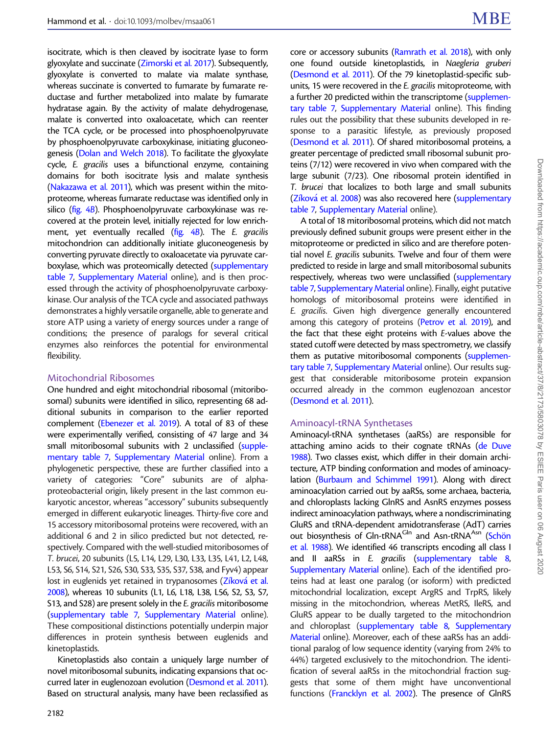isocitrate, which is then cleaved by isocitrate lyase to form glyoxylate and succinate [\(Zimorski et al. 2017](#page-18-0)). Subsequently, glyoxylate is converted to malate via malate synthase, whereas succinate is converted to fumarate by fumarate reductase and further metabolized into malate by fumarate hydratase again. By the activity of malate dehydrogenase, malate is converted into oxaloacetate, which can reenter the TCA cycle, or be processed into phosphoenolpyruvate by phosphoenolpyruvate carboxykinase, initiating gluconeogenesis [\(Dolan and Welch 2018](#page-15-0)). To facilitate the glyoxylate cycle, E. gracilis uses a bifunctional enzyme, containing domains for both isocitrate lysis and malate synthesis ([Nakazawa et al. 2011](#page-17-0)), which was present within the mitoproteome, whereas fumarate reductase was identified only in silico ([fig. 4](#page-8-0)B). Phosphoenolpyruvate carboxykinase was recovered at the protein level, initially rejected for low enrichment, yet eventually recalled  $(f_ig, 4B)$ . The E. gracilis mitochondrion can additionally initiate gluconeogenesis by converting pyruvate directly to oxaloacetate via pyruvate carboxylase, which was proteomically detected ([supplementary](https://academic.oup.com/mbe/article-lookup/doi/10.1093/molbev/msaa061#supplementary-data) [table 7,](https://academic.oup.com/mbe/article-lookup/doi/10.1093/molbev/msaa061#supplementary-data) [Supplementary Material](https://academic.oup.com/mbe/article-lookup/doi/10.1093/molbev/msaa061#supplementary-data) online), and is then processed through the activity of phosphoenolpyruvate carboxykinase. Our analysis of the TCA cycle and associated pathways demonstrates a highly versatile organelle, able to generate and store ATP using a variety of energy sources under a range of conditions; the presence of paralogs for several critical enzymes also reinforces the potential for environmental flexibility.

## Mitochondrial Ribosomes

One hundred and eight mitochondrial ribosomal (mitoribosomal) subunits were identified in silico, representing 68 additional subunits in comparison to the earlier reported complement [\(Ebenezer et al. 2019\)](#page-15-0). A total of 83 of these were experimentally verified, consisting of 47 large and 34 small mitoribosomal subunits with 2 unclassified [\(supple](https://academic.oup.com/mbe/article-lookup/doi/10.1093/molbev/msaa061#supplementary-data)[mentary table 7,](https://academic.oup.com/mbe/article-lookup/doi/10.1093/molbev/msaa061#supplementary-data) [Supplementary Material](https://academic.oup.com/mbe/article-lookup/doi/10.1093/molbev/msaa061#supplementary-data) online). From a phylogenetic perspective, these are further classified into a variety of categories: "Core" subunits are of alphaproteobacterial origin, likely present in the last common eukaryotic ancestor, whereas "accessory" subunits subsequently emerged in different eukaryotic lineages. Thirty-five core and 15 accessory mitoribosomal proteins were recovered, with an additional 6 and 2 in silico predicted but not detected, respectively. Compared with the well-studied mitoribosomes of T. brucei, 20 subunits (L5, L14, L29, L30, L33, L35, L41, L2, L48, L53, S6, S14, S21, S26, S30, S33, S35, S37, S38, and Fyv4) appear lost in euglenids yet retained in trypanosomes ([Z](#page-18-0)<mark>í[kov](#page-18-0)á et al</mark>. [2008\)](#page-18-0), whereas 10 subunits (L1, L6, L18, L38, L56, S2, S3, S7, S13, and S28) are present solely in the E. gracilis mitoribosome ([supplementary table 7,](https://academic.oup.com/mbe/article-lookup/doi/10.1093/molbev/msaa061#supplementary-data) [Supplementary Material](https://academic.oup.com/mbe/article-lookup/doi/10.1093/molbev/msaa061#supplementary-data) online). These compositional distinctions potentially underpin major differences in protein synthesis between euglenids and kinetoplastids.

Kinetoplastids also contain a uniquely large number of novel mitoribosomal subunits, indicating expansions that occurred later in euglenozoan evolution [\(Desmond et al. 2011\)](#page-15-0). Based on structural analysis, many have been reclassified as

core or accessory subunits [\(Ramrath et al. 2018\)](#page-17-0), with only one found outside kinetoplastids, in Naegleria gruberi [\(Desmond et al. 2011](#page-15-0)). Of the 79 kinetoplastid-specific subunits, 15 were recovered in the E. gracilis mitoproteome, with a further 20 predicted within the transcriptome [\(supplemen](https://academic.oup.com/mbe/article-lookup/doi/10.1093/molbev/msaa061#supplementary-data)[tary table 7,](https://academic.oup.com/mbe/article-lookup/doi/10.1093/molbev/msaa061#supplementary-data) [Supplementary Material](https://academic.oup.com/mbe/article-lookup/doi/10.1093/molbev/msaa061#supplementary-data) online). This finding rules out the possibility that these subunits developed in response to a parasitic lifestyle, as previously proposed [\(Desmond et al. 2011\)](#page-15-0). Of shared mitoribosomal proteins, a greater percentage of predicted small ribosomal subunit proteins (7/12) were recovered in vivo when compared with the large subunit (7/23). One ribosomal protein identified in T. brucei that localizes to both large and small subunits [\(Z](#page-18-0)íková [et al. 2008](#page-18-0)) was also recovered here [\(supplementary](https://academic.oup.com/mbe/article-lookup/doi/10.1093/molbev/msaa061#supplementary-data) [table 7,](https://academic.oup.com/mbe/article-lookup/doi/10.1093/molbev/msaa061#supplementary-data) [Supplementary Material](https://academic.oup.com/mbe/article-lookup/doi/10.1093/molbev/msaa061#supplementary-data) online).

A total of 18 mitoribosomal proteins, which did not match previously defined subunit groups were present either in the mitoproteome or predicted in silico and are therefore potential novel E. gracilis subunits. Twelve and four of them were predicted to reside in large and small mitoribosomal subunits respectively, whereas two were unclassified [\(supplementary](https://academic.oup.com/mbe/article-lookup/doi/10.1093/molbev/msaa061#supplementary-data) [table 7,](https://academic.oup.com/mbe/article-lookup/doi/10.1093/molbev/msaa061#supplementary-data) [Supplementary Material](https://academic.oup.com/mbe/article-lookup/doi/10.1093/molbev/msaa061#supplementary-data) online). Finally, eight putative homologs of mitoribosomal proteins were identified in E. gracilis. Given high divergence generally encountered among this category of proteins [\(Petrov et al. 2019](#page-17-0)), and the fact that these eight proteins with E-values above the stated cutoff were detected by mass spectrometry, we classify them as putative mitoribosomal components [\(supplemen](https://academic.oup.com/mbe/article-lookup/doi/10.1093/molbev/msaa061#supplementary-data)[tary table 7,](https://academic.oup.com/mbe/article-lookup/doi/10.1093/molbev/msaa061#supplementary-data) [Supplementary Material](https://academic.oup.com/mbe/article-lookup/doi/10.1093/molbev/msaa061#supplementary-data) online). Our results suggest that considerable mitoribosome protein expansion occurred already in the common euglenozoan ancestor [\(Desmond et al. 2011\)](#page-15-0).

#### Aminoacyl-tRNA Synthetases

Aminoacyl-tRNA synthetases (aaRSs) are responsible for attaching amino acids to their cognate tRNAs ([de Duve](#page-15-0) [1988\)](#page-15-0). Two classes exist, which differ in their domain architecture, ATP binding conformation and modes of aminoacylation [\(Burbaum and Schimmel 1991\)](#page-15-0). Along with direct aminoacylation carried out by aaRSs, some archaea, bacteria, and chloroplasts lacking GlnRS and AsnRS enzymes possess indirect aminoacylation pathways, where a nondiscriminating GluRS and tRNA-dependent amidotransferase (AdT) carries out biosynthesis of Gln-tRNA<sup>Gln</sup> and Asn-tRNA<sup>Asn</sup> (Schön [et al. 1988\)](#page-18-0). We identified 46 transcripts encoding all class I and II aaRSs in E. gracilis [\(supplementary table 8,](https://academic.oup.com/mbe/article-lookup/doi/10.1093/molbev/msaa061#supplementary-data) [Supplementary Material](https://academic.oup.com/mbe/article-lookup/doi/10.1093/molbev/msaa061#supplementary-data) online). Each of the identified proteins had at least one paralog (or isoform) with predicted mitochondrial localization, except ArgRS and TrpRS, likely missing in the mitochondrion, whereas MetRS, IleRS, and GluRS appear to be dually targeted to the mitochondrion and chloroplast [\(supplementary table 8](https://academic.oup.com/mbe/article-lookup/doi/10.1093/molbev/msaa061#supplementary-data), [Supplementary](https://academic.oup.com/mbe/article-lookup/doi/10.1093/molbev/msaa061#supplementary-data) [Material](https://academic.oup.com/mbe/article-lookup/doi/10.1093/molbev/msaa061#supplementary-data) online). Moreover, each of these aaRSs has an additional paralog of low sequence identity (varying from 24% to 44%) targeted exclusively to the mitochondrion. The identification of several aaRSs in the mitochondrial fraction suggests that some of them might have unconventional functions ([Francklyn et al. 2002\)](#page-16-0). The presence of GlnRS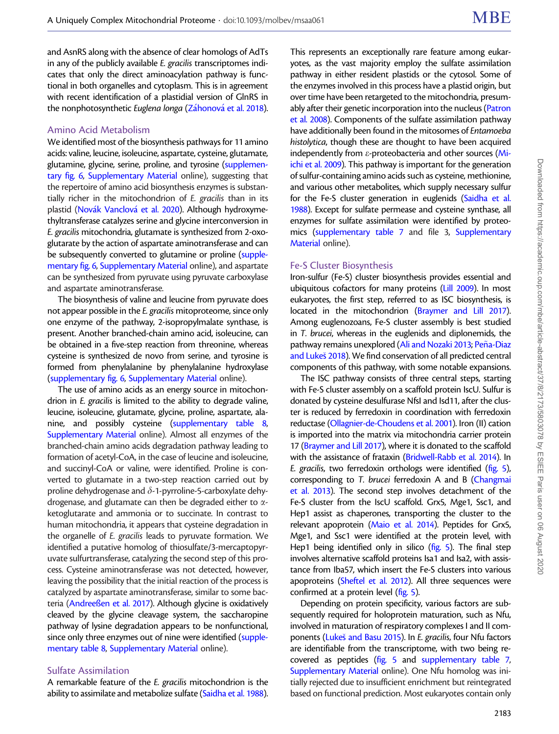and AsnRS along with the absence of clear homologs of AdTs in any of the publicly available E. gracilis transcriptomes indicates that only the direct aminoacylation pathway is functional in both organelles and cytoplasm. This is in agreement with recent identification of a plastidial version of GlnRS in the nonphotosynthetic *Euglena longa [\(Z](#page-18-0)áhonová e*t al. 2018).

#### Amino Acid Metabolism

We identified most of the biosynthesis pathways for 11 amino acids: valine, leucine, isoleucine, aspartate, cysteine, glutamate, glutamine, glycine, serine, proline, and tyrosine ([supplemen](https://academic.oup.com/mbe/article-lookup/doi/10.1093/molbev/msaa061#supplementary-data)[tary fig. 6](https://academic.oup.com/mbe/article-lookup/doi/10.1093/molbev/msaa061#supplementary-data), [Supplementary Material](https://academic.oup.com/mbe/article-lookup/doi/10.1093/molbev/msaa061#supplementary-data) online), suggesting that the repertoire of amino acid biosynthesis enzymes is substantially richer in the mitochondrion of E. gracilis than in its plastid ([Nov](#page-17-0)ák Vanclová [et al. 2020\)](#page-17-0). Although hydroxymethyltransferase catalyzes serine and glycine interconversion in E. gracilis mitochondria, glutamate is synthesized from 2-oxoglutarate by the action of aspartate aminotransferase and can be subsequently converted to glutamine or proline [\(supple](https://academic.oup.com/mbe/article-lookup/doi/10.1093/molbev/msaa061#supplementary-data)[mentary fig. 6,](https://academic.oup.com/mbe/article-lookup/doi/10.1093/molbev/msaa061#supplementary-data) [Supplementary Material](https://academic.oup.com/mbe/article-lookup/doi/10.1093/molbev/msaa061#supplementary-data) online), and aspartate can be synthesized from pyruvate using pyruvate carboxylase and aspartate aminotransferase.

The biosynthesis of valine and leucine from pyruvate does not appear possible in the E. gracilis mitoproteome, since only one enzyme of the pathway, 2-isopropylmalate synthase, is present. Another branched-chain amino acid, isoleucine, can be obtained in a five-step reaction from threonine, whereas cysteine is synthesized de novo from serine, and tyrosine is formed from phenylalanine by phenylalanine hydroxylase ([supplementary fig. 6,](https://academic.oup.com/mbe/article-lookup/doi/10.1093/molbev/msaa061#supplementary-data) [Supplementary Material](https://academic.oup.com/mbe/article-lookup/doi/10.1093/molbev/msaa061#supplementary-data) online).

The use of amino acids as an energy source in mitochondrion in E. gracilis is limited to the ability to degrade valine, leucine, isoleucine, glutamate, glycine, proline, aspartate, alanine, and possibly cysteine [\(supplementary table 8,](https://academic.oup.com/mbe/article-lookup/doi/10.1093/molbev/msaa061#supplementary-data) [Supplementary Material](https://academic.oup.com/mbe/article-lookup/doi/10.1093/molbev/msaa061#supplementary-data) online). Almost all enzymes of the branched-chain amino acids degradation pathway leading to formation of acetyl-CoA, in the case of leucine and isoleucine, and succinyl-CoA or valine, were identified. Proline is converted to glutamate in a two-step reaction carried out by proline dehydrogenase and  $\delta$ -1-pyrroline-5-carboxylate dehydrogenase, and glutamate can then be degraded either to  $\alpha$ ketoglutarate and ammonia or to succinate. In contrast to human mitochondria, it appears that cysteine degradation in the organelle of E. gracilis leads to pyruvate formation. We identified a putative homolog of thiosulfate/3-mercaptopyruvate sulfurtransferase, catalyzing the second step of this process. Cysteine aminotransferase was not detected, however, leaving the possibility that the initial reaction of the process is catalyzed by aspartate aminotransferase, similar to some bacteria ([Andree](#page-15-0)ß[en et al. 2017\)](#page-15-0). Although glycine is oxidatively cleaved by the glycine cleavage system, the saccharopine pathway of lysine degradation appears to be nonfunctional, since only three enzymes out of nine were identified [\(supple](https://academic.oup.com/mbe/article-lookup/doi/10.1093/molbev/msaa061#supplementary-data)[mentary table 8](https://academic.oup.com/mbe/article-lookup/doi/10.1093/molbev/msaa061#supplementary-data), [Supplementary Material](https://academic.oup.com/mbe/article-lookup/doi/10.1093/molbev/msaa061#supplementary-data) online).

#### Sulfate Assimilation

A remarkable feature of the E. gracilis mitochondrion is the ability to assimilate and metabolize sulfate [\(Saidha et al. 1988\)](#page-17-0).

This represents an exceptionally rare feature among eukaryotes, as the vast majority employ the sulfate assimilation pathway in either resident plastids or the cytosol. Some of the enzymes involved in this process have a plastid origin, but over time have been retargeted to the mitochondria, presum-ably after their genetic incorporation into the nucleus [\(Patron](#page-17-0) [et al. 2008\)](#page-17-0). Components of the sulfate assimilation pathway have additionally been found in the mitosomes of Entamoeba histolytica, though these are thought to have been acquired independently from  $\varepsilon$ -proteobacteria and other sources [\(Mi](#page-17-0)[ichi et al. 2009\)](#page-17-0). This pathway is important for the generation of sulfur-containing amino acids such as cysteine, methionine, and various other metabolites, which supply necessary sulfur for the Fe-S cluster generation in euglenids [\(Saidha et al.](#page-17-0) [1988\)](#page-17-0). Except for sulfate permease and cysteine synthase, all enzymes for sulfate assimilation were identified by proteo-mics [\(supplementary table 7](https://academic.oup.com/mbe/article-lookup/doi/10.1093/molbev/msaa061#supplementary-data) and file 3, [Supplementary](https://academic.oup.com/mbe/article-lookup/doi/10.1093/molbev/msaa061#supplementary-data) [Material](https://academic.oup.com/mbe/article-lookup/doi/10.1093/molbev/msaa061#supplementary-data) online).

#### Fe-S Cluster Biosynthesis

Iron-sulfur (Fe-S) cluster biosynthesis provides essential and ubiquitous cofactors for many proteins [\(Lill 2009\)](#page-17-0). In most eukaryotes, the first step, referred to as ISC biosynthesis, is located in the mitochondrion ([Braymer and Lill 2017\)](#page-15-0). Among euglenozoans, Fe-S cluster assembly is best studied in T. brucei, whereas in the euglenids and diplonemids, the pathway remains unexplored [\(Ali and Nozaki 2013](#page-15-0); Peña-Diaz [and Luke](#page-17-0)s [2018](#page-17-0)). We find conservation of all predicted central components of this pathway, with some notable expansions.

The ISC pathway consists of three central steps, starting with Fe-S cluster assembly on a scaffold protein IscU. Sulfur is donated by cysteine desulfurase NfsI and Isd11, after the cluster is reduced by ferredoxin in coordination with ferredoxin reductase ([Ollagnier-de-Choudens et al. 2001](#page-17-0)). Iron (II) cation is imported into the matrix via mitochondria carrier protein 17 [\(Braymer and Lill 2017\)](#page-15-0), where it is donated to the scaffold with the assistance of frataxin [\(Bridwell-Rabb et al. 2014\)](#page-15-0). In E. gracilis, two ferredoxin orthologs were identified [\(fig. 5\)](#page-11-0), corresponding to T. brucei ferredoxin A and B [\(Changmai](#page-15-0) [et al. 2013](#page-15-0)). The second step involves detachment of the Fe-S cluster from the IscU scaffold. Grx5, Mge1, Ssc1, and Hep1 assist as chaperones, transporting the cluster to the relevant apoprotein [\(Maio et al. 2014\)](#page-17-0). Peptides for Grx5, Mge1, and Ssc1 were identified at the protein level, with Hep1 being identified only in silico [\(fig. 5](#page-11-0)). The final step involves alternative scaffold proteins Isa1 and Isa2, with assistance from Iba57, which insert the Fe-S clusters into various apoproteins [\(Sheftel et al. 2012\)](#page-18-0). All three sequences were confirmed at a protein level [\(fig. 5](#page-11-0)).

Depending on protein specificity, various factors are subsequently required for holoprotein maturation, such as Nfu, involved in maturation of respiratory complexes I and II com-ponents ([Luke](#page-17-0)š [and Basu 2015](#page-17-0)). In E. gracilis, four Nfu factors are identifiable from the transcriptome, with two being recovered as peptides [\(fig. 5](#page-11-0) and [supplementary table 7,](https://academic.oup.com/mbe/article-lookup/doi/10.1093/molbev/msaa061#supplementary-data) [Supplementary Material](https://academic.oup.com/mbe/article-lookup/doi/10.1093/molbev/msaa061#supplementary-data) online). One Nfu homolog was initially rejected due to insufficient enrichment but reintegrated based on functional prediction. Most eukaryotes contain only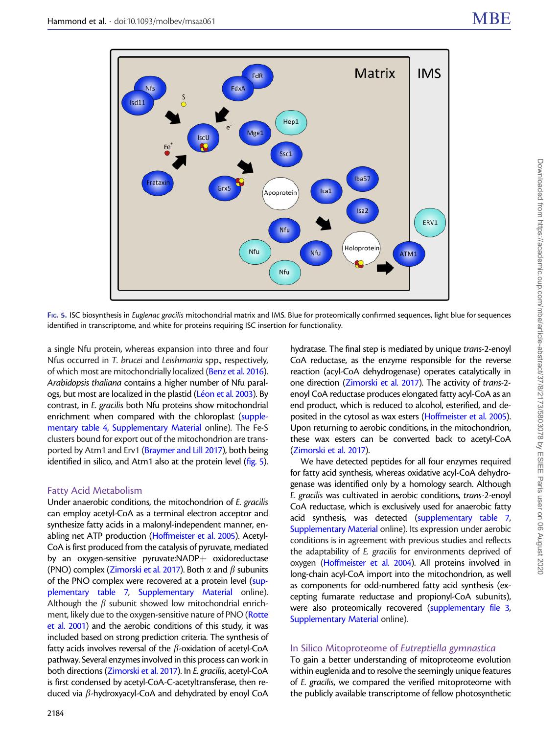<span id="page-11-0"></span>

FIG. 5. ISC biosynthesis in Euglenac gracilis mitochondrial matrix and IMS. Blue for proteomically confirmed sequences, light blue for sequences identified in transcriptome, and white for proteins requiring ISC insertion for functionality.

a single Nfu protein, whereas expansion into three and four Nfus occurred in T. brucei and Leishmania spp., respectively, of which most are mitochondrially localized [\(Benz et al. 2016\)](#page-15-0). Arabidopsis thaliana contains a higher number of Nfu paral-ogs, but most are localized in the plastid (<mark>[L](#page-17-0)éon et al. 2003)</mark>. By contrast, in E. gracilis both Nfu proteins show mitochondrial enrichment when compared with the chloroplast [\(supple](https://academic.oup.com/mbe/article-lookup/doi/10.1093/molbev/msaa061#supplementary-data)[mentary table 4](https://academic.oup.com/mbe/article-lookup/doi/10.1093/molbev/msaa061#supplementary-data), [Supplementary Material](https://academic.oup.com/mbe/article-lookup/doi/10.1093/molbev/msaa061#supplementary-data) online). The Fe-S clusters bound for export out of the mitochondrion are transported by Atm1 and Erv1 [\(Braymer and Lill 2017\)](#page-15-0), both being identified in silico, and Atm1 also at the protein level (fig. 5).

#### Fatty Acid Metabolism

Under anaerobic conditions, the mitochondrion of E. gracilis can employ acetyl-CoA as a terminal electron acceptor and synthesize fatty acids in a malonyl-independent manner, enabling net ATP production [\(Hoffmeister et al. 2005](#page-16-0)). Acetyl-CoA is first produced from the catalysis of pyruvate, mediated by an oxygen-sensitive pyruvate: $NADP$  oxidoreductase (PNO) complex [\(Zimorski et al. 2017\)](#page-18-0). Both  $\alpha$  and  $\beta$  subunits of the PNO complex were recovered at a protein level [\(sup](https://academic.oup.com/mbe/article-lookup/doi/10.1093/molbev/msaa061#supplementary-data)[plementary table 7,](https://academic.oup.com/mbe/article-lookup/doi/10.1093/molbev/msaa061#supplementary-data) [Supplementary Material](https://academic.oup.com/mbe/article-lookup/doi/10.1093/molbev/msaa061#supplementary-data) online). Although the  $\beta$  subunit showed low mitochondrial enrichment, likely due to the oxygen-sensitive nature of PNO [\(Rotte](#page-17-0) [et al. 2001](#page-17-0)) and the aerobic conditions of this study, it was included based on strong prediction criteria. The synthesis of fatty acids involves reversal of the  $\beta$ -oxidation of acetyl-CoA pathway. Several enzymes involved in this process can work in both directions [\(Zimorski et al. 2017\)](#page-18-0). In E. gracilis, acetyl-CoA is first condensed by acetyl-CoA-C-acetyltransferase, then reduced via  $\beta$ -hydroxyacyl-CoA and dehydrated by enoyl CoA

hydratase. The final step is mediated by unique trans-2-enoyl CoA reductase, as the enzyme responsible for the reverse reaction (acyl-CoA dehydrogenase) operates catalytically in one direction [\(Zimorski et al. 2017](#page-18-0)). The activity of trans-2 enoyl CoA reductase produces elongated fatty acyl-CoA as an end product, which is reduced to alcohol, esterified, and deposited in the cytosol as wax esters [\(Hoffmeister et al. 2005\)](#page-16-0). Upon returning to aerobic conditions, in the mitochondrion, these wax esters can be converted back to acetyl-CoA [\(Zimorski et al. 2017](#page-18-0)).

We have detected peptides for all four enzymes required for fatty acid synthesis, whereas oxidative acyl-CoA dehydrogenase was identified only by a homology search. Although E. gracilis was cultivated in aerobic conditions, trans-2-enoyl CoA reductase, which is exclusively used for anaerobic fatty acid synthesis, was detected [\(supplementary table 7,](https://academic.oup.com/mbe/article-lookup/doi/10.1093/molbev/msaa061#supplementary-data) [Supplementary Material](https://academic.oup.com/mbe/article-lookup/doi/10.1093/molbev/msaa061#supplementary-data) online). Its expression under aerobic conditions is in agreement with previous studies and reflects the adaptability of E. gracilis for environments deprived of oxygen ([Hoffmeister et al. 2004](#page-16-0)). All proteins involved in long-chain acyl-CoA import into the mitochondrion, as well as components for odd-numbered fatty acid synthesis (excepting fumarate reductase and propionyl-CoA subunits), were also proteomically recovered [\(supplementary file 3,](https://academic.oup.com/mbe/article-lookup/doi/10.1093/molbev/msaa061#supplementary-data) [Supplementary Material](https://academic.oup.com/mbe/article-lookup/doi/10.1093/molbev/msaa061#supplementary-data) online).

## In Silico Mitoproteome of Eutreptiella gymnastica

To gain a better understanding of mitoproteome evolution within euglenida and to resolve the seemingly unique features of E. gracilis, we compared the verified mitoproteome with the publicly available transcriptome of fellow photosynthetic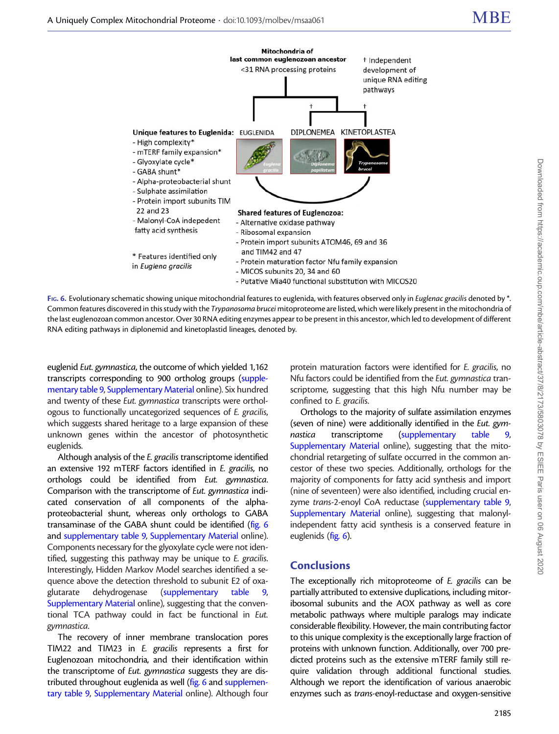<span id="page-12-0"></span>

FIG. 6. Evolutionary schematic showing unique mitochondrial features to euglenida, with features observed only in Euglenac gracilis denoted by \*. Common features discovered in this study with the Trypanosoma brucei mitoproteome are listed, which were likely present in the mitochondria of the last euglenozoan common ancestor. Over 30 RNA editing enzymes appear to be present in this ancestor, which led to development of different RNA editing pathways in diplonemid and kinetoplastid lineages, denoted by.

euglenid Eut. gymnastica, the outcome of which yielded 1,162 transcripts corresponding to 900 ortholog groups [\(supple](https://academic.oup.com/mbe/article-lookup/doi/10.1093/molbev/msaa061#supplementary-data)[mentary table 9](https://academic.oup.com/mbe/article-lookup/doi/10.1093/molbev/msaa061#supplementary-data), [Supplementary Material](https://academic.oup.com/mbe/article-lookup/doi/10.1093/molbev/msaa061#supplementary-data) online). Six hundred and twenty of these Eut. gymnastica transcripts were orthologous to functionally uncategorized sequences of E. gracilis, which suggests shared heritage to a large expansion of these unknown genes within the ancestor of photosynthetic euglenids.

Although analysis of the E. gracilis transcriptome identified an extensive 192 mTERF factors identified in E. gracilis, no orthologs could be identified from Eut. gymnastica. Comparison with the transcriptome of Eut. gymnastica indicated conservation of all components of the alphaproteobacterial shunt, whereas only orthologs to GABA transaminase of the GABA shunt could be identified (fig. 6 and [supplementary table 9,](https://academic.oup.com/mbe/article-lookup/doi/10.1093/molbev/msaa061#supplementary-data) [Supplementary Material](https://academic.oup.com/mbe/article-lookup/doi/10.1093/molbev/msaa061#supplementary-data) online). Components necessary for the glyoxylate cycle were not identified, suggesting this pathway may be unique to E. gracilis. Interestingly, Hidden Markov Model searches identified a sequence above the detection threshold to subunit E2 of oxaglutarate dehydrogenase [\(supplementary table 9,](https://academic.oup.com/mbe/article-lookup/doi/10.1093/molbev/msaa061#supplementary-data) [Supplementary Material](https://academic.oup.com/mbe/article-lookup/doi/10.1093/molbev/msaa061#supplementary-data) online), suggesting that the conventional TCA pathway could in fact be functional in Eut. gymnastica.

The recovery of inner membrane translocation pores TIM22 and TIM23 in E. gracilis represents a first for Euglenozoan mitochondria, and their identification within the transcriptome of Eut. gymnastica suggests they are distributed throughout euglenida as well (fig. 6 and [supplemen](https://academic.oup.com/mbe/article-lookup/doi/10.1093/molbev/msaa061#supplementary-data)[tary table 9](https://academic.oup.com/mbe/article-lookup/doi/10.1093/molbev/msaa061#supplementary-data), [Supplementary Material](https://academic.oup.com/mbe/article-lookup/doi/10.1093/molbev/msaa061#supplementary-data) online). Although four protein maturation factors were identified for E. gracilis, no Nfu factors could be identified from the Eut. gymnastica transcriptome, suggesting that this high Nfu number may be confined to E. gracilis.

Orthologs to the majority of sulfate assimilation enzymes (seven of nine) were additionally identified in the Eut. gymnastica transcriptome ([supplementary table 9,](https://academic.oup.com/mbe/article-lookup/doi/10.1093/molbev/msaa061#supplementary-data) [Supplementary Material](https://academic.oup.com/mbe/article-lookup/doi/10.1093/molbev/msaa061#supplementary-data) online), suggesting that the mitochondrial retargeting of sulfate occurred in the common ancestor of these two species. Additionally, orthologs for the majority of components for fatty acid synthesis and import (nine of seventeen) were also identified, including crucial en-zyme trans-2-enoyl CoA reductase [\(supplementary table 9,](https://academic.oup.com/mbe/article-lookup/doi/10.1093/molbev/msaa061#supplementary-data) [Supplementary Material](https://academic.oup.com/mbe/article-lookup/doi/10.1093/molbev/msaa061#supplementary-data) online), suggesting that malonylindependent fatty acid synthesis is a conserved feature in euglenids (fig. 6).

## **Conclusions**

The exceptionally rich mitoproteome of E. gracilis can be partially attributed to extensive duplications, including mitoribosomal subunits and the AOX pathway as well as core metabolic pathways where multiple paralogs may indicate considerable flexibility. However, the main contributing factor to this unique complexity is the exceptionally large fraction of proteins with unknown function. Additionally, over 700 predicted proteins such as the extensive mTERF family still require validation through additional functional studies. Although we report the identification of various anaerobic enzymes such as trans-enoyl-reductase and oxygen-sensitive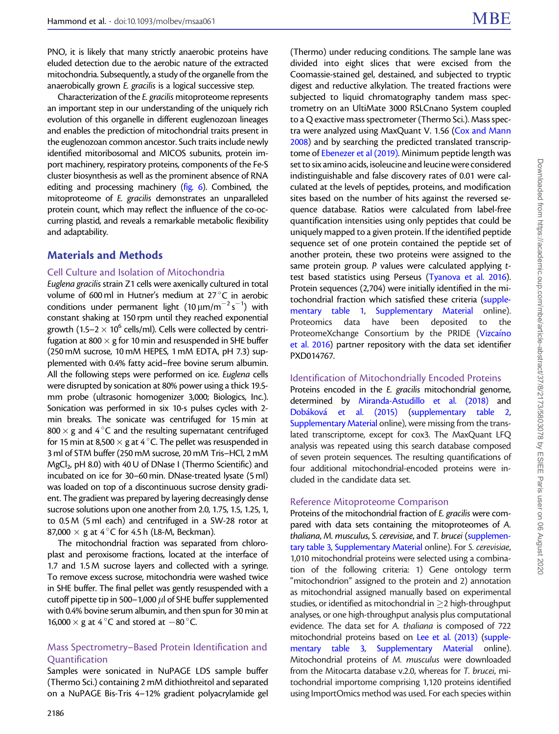PNO, it is likely that many strictly anaerobic proteins have eluded detection due to the aerobic nature of the extracted mitochondria. Subsequently, a study of the organelle from the anaerobically grown E. gracilis is a logical successive step.

Characterization of the E. gracilis mitoproteome represents an important step in our understanding of the uniquely rich evolution of this organelle in different euglenozoan lineages and enables the prediction of mitochondrial traits present in the euglenozoan common ancestor. Such traits include newly identified mitoribosomal and MICOS subunits, protein import machinery, respiratory proteins, components of the Fe-S cluster biosynthesis as well as the prominent absence of RNA editing and processing machinery ([fig. 6\)](#page-12-0). Combined, the mitoproteome of E. gracilis demonstrates an unparalleled protein count, which may reflect the influence of the co-occurring plastid, and reveals a remarkable metabolic flexibility and adaptability.

# Materials and Methods

## Cell Culture and Isolation of Mitochondria

Euglena gracilis strain Z1 cells were axenically cultured in total volume of 600 ml in Hutner's medium at 27 °C in aerobic conditions under permanent light  $(10 \,\mu\text{m/m}^{-2}\,\text{s}^{-1})$  with constant shaking at 150 rpm until they reached exponential growth (1.5–2  $\times$  10<sup>6</sup> cells/ml). Cells were collected by centrifugation at 800  $\times$  g for 10 min and resuspended in SHE buffer (250 mM sucrose, 10 mM HEPES, 1 mM EDTA, pH 7.3) supplemented with 0.4% fatty acid–free bovine serum albumin. All the following steps were performed on ice. Euglena cells were disrupted by sonication at 80% power using a thick 19.5 mm probe (ultrasonic homogenizer 3,000; Biologics, Inc.). Sonication was performed in six 10-s pulses cycles with 2 min breaks. The sonicate was centrifuged for 15 min at 800  $\times$  g and 4 °C and the resulting supernatant centrifuged for 15 min at 8,500  $\times$  g at 4 °C. The pellet was resuspended in 3 ml of STM buffer (250 mM sucrose, 20 mM Tris–HCl, 2 mM  $MgCl<sub>2</sub>$ , pH 8.0) with 40 U of DNase I (Thermo Scientific) and incubated on ice for 30–60 min. DNase-treated lysate (5 ml) was loaded on top of a discontinuous sucrose density gradient. The gradient was prepared by layering decreasingly dense sucrose solutions upon one another from 2.0, 1.75, 1.5, 1.25, 1, to 0.5 M (5 ml each) and centrifuged in a SW-28 rotor at 87,000  $\times$  g at 4 °C for 4.5 h (L8-M, Beckman).

The mitochondrial fraction was separated from chloroplast and peroxisome fractions, located at the interface of 1.7 and 1.5 M sucrose layers and collected with a syringe. To remove excess sucrose, mitochondria were washed twice in SHE buffer. The final pellet was gently resuspended with a cutoff pipette tip in 500–1,000  $\mu$  of SHE buffer supplemented with 0.4% bovine serum albumin, and then spun for 30 min at 16,000  $\times$  g at 4 °C and stored at  $-80$  °C.

## Mass Spectrometry–Based Protein Identification and **Ouantification**

Samples were sonicated in NuPAGE LDS sample buffer (Thermo Sci.) containing 2 mM dithiothreitol and separated on a NuPAGE Bis-Tris 4–12% gradient polyacrylamide gel

(Thermo) under reducing conditions. The sample lane was divided into eight slices that were excised from the Coomassie-stained gel, destained, and subjected to tryptic digest and reductive alkylation. The treated fractions were subjected to liquid chromatography tandem mass spectrometry on an UltiMate 3000 RSLCnano System coupled to a Q exactive mass spectrometer (Thermo Sci.). Mass spec-tra were analyzed using MaxQuant V. 1.56 [\(Cox and Mann](#page-15-0) [2008](#page-15-0)) and by searching the predicted translated transcriptome of [Ebenezer et al \(2019\)](#page-15-0). Minimum peptide length was set to six amino acids, isoleucine and leucine were considered indistinguishable and false discovery rates of 0.01 were calculated at the levels of peptides, proteins, and modification sites based on the number of hits against the reversed sequence database. Ratios were calculated from label-free quantification intensities using only peptides that could be uniquely mapped to a given protein. If the identified peptide sequence set of one protein contained the peptide set of another protein, these two proteins were assigned to the same protein group. P values were calculated applying ttest based statistics using Perseus [\(Tyanova et al. 2016](#page-18-0)). Protein sequences (2,704) were initially identified in the mi-tochondrial fraction which satisfied these criteria [\(supple](https://academic.oup.com/mbe/article-lookup/doi/10.1093/molbev/msaa061#supplementary-data)[mentary table 1](https://academic.oup.com/mbe/article-lookup/doi/10.1093/molbev/msaa061#supplementary-data), [Supplementary Material](https://academic.oup.com/mbe/article-lookup/doi/10.1093/molbev/msaa061#supplementary-data) online). Proteomics data have been deposited to the ProteomeXchange Consortium by the PRIDE ([Vizca](#page-18-0)íno [et al. 2016](#page-18-0)) partner repository with the data set identifier PXD014767.

## Identification of Mitochondrially Encoded Proteins

Proteins encoded in the E. gracilis mitochondrial genome, determined by [Miranda-Astudillo et al. \(2018\)](#page-17-0) and [Dob](#page-15-0)áková [et al. \(2015\)](#page-15-0) [\(supplementary table 2,](https://academic.oup.com/mbe/article-lookup/doi/10.1093/molbev/msaa061#supplementary-data) [Supplementary Material](https://academic.oup.com/mbe/article-lookup/doi/10.1093/molbev/msaa061#supplementary-data) online), were missing from the translated transcriptome, except for cox3. The MaxQuant LFQ analysis was repeated using this search database composed of seven protein sequences. The resulting quantifications of four additional mitochondrial-encoded proteins were included in the candidate data set.

#### Reference Mitoproteome Comparison

Proteins of the mitochondrial fraction of E. gracilis were compared with data sets containing the mitoproteomes of A. thaliana, M. musculus, S. cerevisiae, and T. brucei [\(supplemen](https://academic.oup.com/mbe/article-lookup/doi/10.1093/molbev/msaa061#supplementary-data)[tary table 3,](https://academic.oup.com/mbe/article-lookup/doi/10.1093/molbev/msaa061#supplementary-data) [Supplementary Material](https://academic.oup.com/mbe/article-lookup/doi/10.1093/molbev/msaa061#supplementary-data) online). For S. cerevisiae, 1,010 mitochondrial proteins were selected using a combination of the following criteria: 1) Gene ontology term "mitochondrion" assigned to the protein and 2) annotation as mitochondrial assigned manually based on experimental studies, or identified as mitochondrial in  $\geq 2$  high-throughput analyses, or one high-throughput analysis plus computational evidence. The data set for A. thaliana is composed of 722 mitochondrial proteins based on [Lee et al. \(2013\)](#page-17-0) [\(supple](https://academic.oup.com/mbe/article-lookup/doi/10.1093/molbev/msaa061#supplementary-data)[mentary table 3](https://academic.oup.com/mbe/article-lookup/doi/10.1093/molbev/msaa061#supplementary-data), [Supplementary Material](https://academic.oup.com/mbe/article-lookup/doi/10.1093/molbev/msaa061#supplementary-data) online). Mitochondrial proteins of M. musculus were downloaded from the Mitocarta database v.2.0, whereas for T. brucei, mitochondrial importome comprising 1,120 proteins identified using ImportOmics method was used. For each species within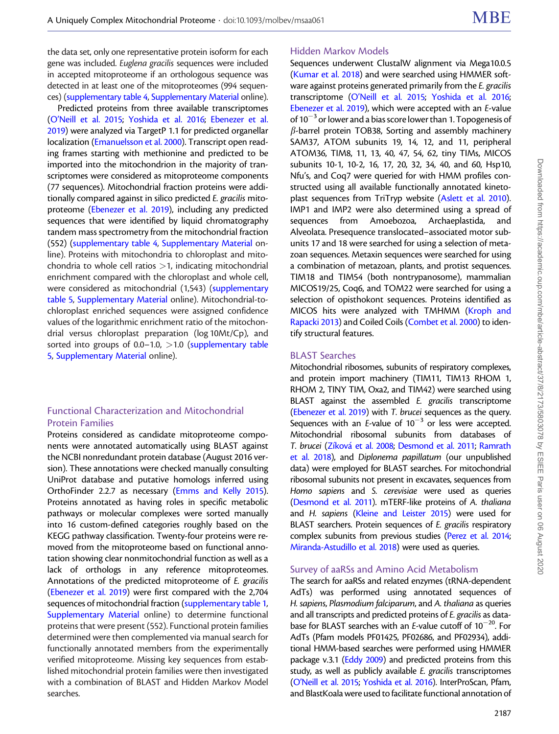the data set, only one representative protein isoform for each gene was included. Euglena gracilis sequences were included in accepted mitoproteome if an orthologous sequence was detected in at least one of the mitoproteomes (994 sequences) [\(supplementary table 4](https://academic.oup.com/mbe/article-lookup/doi/10.1093/molbev/msaa061#supplementary-data), [Supplementary Material](https://academic.oup.com/mbe/article-lookup/doi/10.1093/molbev/msaa061#supplementary-data) online).

Predicted proteins from three available transcriptomes ([O'Neill et al. 2015](#page-17-0); [Yoshida et al. 2016;](#page-18-0) [Ebenezer et al.](#page-15-0) [2019](#page-15-0)) were analyzed via TargetP 1.1 for predicted organellar localization ([Emanuelsson et al. 2000](#page-16-0)). Transcript open reading frames starting with methionine and predicted to be imported into the mitochondrion in the majority of transcriptomes were considered as mitoproteome components (77 sequences). Mitochondrial fraction proteins were additionally compared against in silico predicted E. gracilis mitoproteome [\(Ebenezer et al. 2019\)](#page-15-0), including any predicted sequences that were identified by liquid chromatography tandem mass spectrometry from the mitochondrial fraction (552) ([supplementary table 4,](https://academic.oup.com/mbe/article-lookup/doi/10.1093/molbev/msaa061#supplementary-data) [Supplementary Material](https://academic.oup.com/mbe/article-lookup/doi/10.1093/molbev/msaa061#supplementary-data) online). Proteins with mitochondria to chloroplast and mitochondria to whole cell ratios  $>1$ , indicating mitochondrial enrichment compared with the chloroplast and whole cell, were considered as mitochondrial (1,543) [\(supplementary](https://academic.oup.com/mbe/article-lookup/doi/10.1093/molbev/msaa061#supplementary-data) [table 5,](https://academic.oup.com/mbe/article-lookup/doi/10.1093/molbev/msaa061#supplementary-data) [Supplementary Material](https://academic.oup.com/mbe/article-lookup/doi/10.1093/molbev/msaa061#supplementary-data) online). Mitochondrial-tochloroplast enriched sequences were assigned confidence values of the logarithmic enrichment ratio of the mitochondrial versus chloroplast preparation (log 10Mt/Cp), and sorted into groups of  $0.0-1.0$ ,  $>1.0$  ([supplementary table](https://academic.oup.com/mbe/article-lookup/doi/10.1093/molbev/msaa061#supplementary-data) [5](https://academic.oup.com/mbe/article-lookup/doi/10.1093/molbev/msaa061#supplementary-data), [Supplementary Material](https://academic.oup.com/mbe/article-lookup/doi/10.1093/molbev/msaa061#supplementary-data) online).

# Functional Characterization and Mitochondrial Protein Families

Proteins considered as candidate mitoproteome components were annotated automatically using BLAST against the NCBI nonredundant protein database (August 2016 version). These annotations were checked manually consulting UniProt database and putative homologs inferred using OrthoFinder 2.2.7 as necessary [\(Emms and Kelly 2015\)](#page-16-0). Proteins annotated as having roles in specific metabolic pathways or molecular complexes were sorted manually into 16 custom-defined categories roughly based on the KEGG pathway classification. Twenty-four proteins were removed from the mitoproteome based on functional annotation showing clear nonmitochondrial function as well as a lack of orthologs in any reference mitoproteomes. Annotations of the predicted mitoproteome of E. gracilis ([Ebenezer et al. 2019](#page-15-0)) were first compared with the 2,704 sequences of mitochondrial fraction ([supplementary table 1,](https://academic.oup.com/mbe/article-lookup/doi/10.1093/molbev/msaa061#supplementary-data) [Supplementary Material](https://academic.oup.com/mbe/article-lookup/doi/10.1093/molbev/msaa061#supplementary-data) online) to determine functional proteins that were present (552). Functional protein families determined were then complemented via manual search for functionally annotated members from the experimentally verified mitoproteome. Missing key sequences from established mitochondrial protein families were then investigated with a combination of BLAST and Hidden Markov Model searches.

## Hidden Markov Models

Sequences underwent ClustalW alignment via Mega10.0.5 [\(Kumar et al. 2018](#page-17-0)) and were searched using HMMER software against proteins generated primarily from the E. gracilis transcriptome [\(O'Neill et al. 2015;](#page-17-0) [Yoshida et al. 2016;](#page-18-0) [Ebenezer et al. 2019](#page-15-0)), which were accepted with an E-value of  $10^{-3}$  or lower and a bias score lower than 1. Topogenesis of  $\beta$ -barrel protein TOB38, Sorting and assembly machinery SAM37, ATOM subunits 19, 14, 12, and 11, peripheral ATOM36, TIM8, 11, 13, 40, 47, 54, 62, tiny TIMs, MICOS subunits 10-1, 10-2, 16, 17, 20, 32, 34, 40, and 60, Hsp10, Nfu's, and Coq7 were queried for with HMM profiles constructed using all available functionally annotated kinetoplast sequences from TriTryp website ([Aslett et al. 2010](#page-15-0)). IMP1 and IMP2 were also determined using a spread of<br>sequences from Amoebozoa. Archaeplastida. and sequences from Amoebozoa, Archaeplastida, and Alveolata. Presequence translocated–associated motor subunits 17 and 18 were searched for using a selection of metazoan sequences. Metaxin sequences were searched for using a combination of metazoan, plants, and protist sequences. TIM18 and TIM54 (both nontrypanosome), mammalian MICOS19/25, Coq6, and TOM22 were searched for using a selection of opisthokont sequences. Proteins identified as MICOS hits were analyzed with TMHMM ([Kroph and](#page-17-0) [Rapacki 2013\)](#page-17-0) and Coiled Coils ([Combet et al. 2000](#page-15-0)) to identify structural features.

## BLAST Searches

Mitochondrial ribosomes, subunits of respiratory complexes, and protein import machinery (TIM11, TIM13 RHOM 1, RHOM 2, TINY TIM, Oxa2, and TIM42) were searched using BLAST against the assembled E. gracilis transcriptome [\(Ebenezer et al. 2019\)](#page-15-0) with T. brucei sequences as the query. Sequences with an E-value of  $10^{-3}$  or less were accepted. Mitochondrial ribosomal subunits from databases of T. brucei [\(Z](#page-18-0)í[kov](#page-18-0)á et al. 2008; [Desmond et al. 2011;](#page-15-0) [Ramrath](#page-17-0) [et al. 2018\)](#page-17-0), and Diplonema papillatum (our unpublished data) were employed for BLAST searches. For mitochondrial ribosomal subunits not present in excavates, sequences from Homo sapiens and S. cerevisiae were used as queries [\(Desmond et al. 2011\)](#page-15-0). mTERF-like proteins of A. thaliana and H. sapiens [\(Kleine and Leister 2015](#page-16-0)) were used for BLAST searchers. Protein sequences of E. gracilis respiratory complex subunits from previous studies [\(Perez et al. 2014;](#page-17-0) [Miranda-Astudillo et al. 2018](#page-17-0)) were used as queries.

#### Survey of aaRSs and Amino Acid Metabolism

The search for aaRSs and related enzymes (tRNA-dependent AdTs) was performed using annotated sequences of H. sapiens, Plasmodium falciparum, and A. thaliana as queries and all transcripts and predicted proteins of E. gracilis as database for BLAST searches with an E-value cutoff of  $10^{-20}$ . For AdTs (Pfam models PF01425, PF02686, and PF02934), additional HMM-based searches were performed using HMMER package v.3.1 [\(Eddy 2009](#page-15-0)) and predicted proteins from this study, as well as publicly available E. gracilis transcriptomes [\(O'Neill et al. 2015](#page-17-0); [Yoshida et al. 2016\)](#page-18-0). InterProScan, Pfam, and BlastKoala were used to facilitate functional annotation of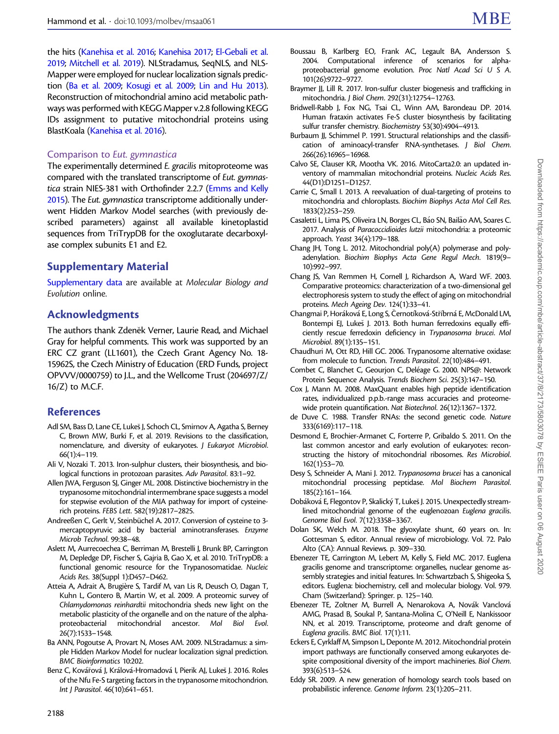<span id="page-15-0"></span>the hits ([Kanehisa et al. 2016](#page-16-0); [Kanehisa 2017](#page-16-0); [El-Gebali et al.](#page-16-0) [2019;](#page-16-0) [Mitchell et al. 2019\)](#page-17-0). NLStradamus, SeqNLS, and NLS-Mapper were employed for nuclear localization signals prediction (Ba et al. 2009; [Kosugi et al. 2009;](#page-16-0) [Lin and Hu 2013\)](#page-17-0). Reconstruction of mitochondrial amino acid metabolic pathways was performed with KEGG Mapper v.2.8 following KEGG IDs assignment to putative mitochondrial proteins using BlastKoala [\(Kanehisa et al. 2016](#page-16-0)).

## Comparison to Eut. gymnastica

The experimentally determined E. gracilis mitoproteome was compared with the translated transcriptome of Eut. gymnastica strain NIES-381 with Orthofinder 2.2.7 [\(Emms and Kelly](#page-16-0) [2015\)](#page-16-0). The Eut. gymnastica transcriptome additionally underwent Hidden Markov Model searches (with previously described parameters) against all available kinetoplastid sequences from TriTrypDB for the oxoglutarate decarboxylase complex subunits E1 and E2.

# Supplementary Material

[Supplementary data](https://academic.oup.com/mbe/article-lookup/doi/10.1093/molbev/msaa061#supplementary-data) are available at Molecular Biology and Evolution online.

# Acknowledgments

The authors thank Zdeněk Verner, Laurie Read, and Michael Gray for helpful comments. This work was supported by an ERC CZ grant (LL1601), the Czech Grant Agency No. 18- 15962S, the Czech Ministry of Education (ERD Funds, project OPVVV/0000759) to J.L., and the Wellcome Trust (204697/Z/ 16/Z) to M.C.F.

# References

- Adl SM, Bass D, Lane CE, Lukes J, Schoch CL, Smirnov A, Agatha S, Berney C, Brown MW, Burki F, et al. 2019. Revisions to the classification, nomenclature, and diversity of eukaryotes. J Eukaryot Microbiol. 66(1):4–119.
- Ali V, Nozaki T. 2013. Iron-sulphur clusters, their biosynthesis, and biological functions in protozoan parasites. Adv Parasitol. 83:1–92.
- Allen JWA, Ferguson SJ, Ginger ML. 2008. Distinctive biochemistry in the trypanosome mitochondrial intermembrane space suggests a model for stepwise evolution of the MIA pathway for import of cysteinerich proteins. FEBS Lett. 582(19):2817–2825.
- Andreeßen C, Gerlt V, Steinbüchel A. 2017. Conversion of cysteine to 3mercaptopyruvic acid by bacterial aminotransferases. Enzyme Microb Technol. 99:38–48.
- Aslett M, Aurrecoechea C, Berriman M, Brestelli J, Brunk BP, Carrington M, Depledge DP, Fischer S, Gajria B, Gao X, et al. 2010. TriTrypDB: a functional genomic resource for the Trypanosomatidae. Nucleic Acids Res. 38(Suppl 1):D457–D462.
- Atteia A, Adrait A, Brugière S, Tardif M, van Lis R, Deusch O, Dagan T, Kuhn L, Gontero B, Martin W, et al. 2009. A proteomic survey of Chlamydomonas reinhardtii mitochondria sheds new light on the metabolic plasticity of the organelle and on the nature of the alphaproteobacterial mitochondrial ancestor. Mol Biol Evol. 26(7):1533–1548.
- Ba ANN, Pogoutse A, Provart N, Moses AM. 2009. NLStradamus: a simple Hidden Markov Model for nuclear localization signal prediction. BMC Bioinformatics 10:202.
- Benz C, Kovářová J, Králová-Hromadová I, Pierik AJ, Lukeš J. 2016. Roles of the Nfu Fe-S targeting factors in the trypanosome mitochondrion. Int J Parasitol. 46(10):641–651.
- Boussau B, Karlberg EO, Frank AC, Legault BA, Andersson S. 2004. Computational inference of scenarios for alphaproteobacterial genome evolution. Proc Natl Acad Sci U S A. 101(26):9722–9727.
- Braymer JJ, Lill R. 2017. Iron-sulfur cluster biogenesis and trafficking in mitochondria. J Biol Chem. 292(31):12754–12763.
- Bridwell-Rabb J, Fox NG, Tsai CL, Winn AM, Barondeau DP. 2014. Human frataxin activates Fe-S cluster biosynthesis by facilitating sulfur transfer chemistry. Biochemistry 53(30):4904–4913.
- Burbaum JJ, Schimmel P. 1991. Structural relationships and the classification of aminoacyl-transfer RNA-synthetases. J Biol Chem. 266(26):16965–16968.
- Calvo SE, Clauser KR, Mootha VK. 2016. MitoCarta2.0: an updated inventory of mammalian mitochondrial proteins. Nucleic Acids Res. 44(D1):D1251–D1257.
- Carrie C, Small I. 2013. A reevaluation of dual-targeting of proteins to mitochondria and chloroplasts. Biochim Biophys Acta Mol Cell Res. 1833(2):253–259.
- Casaletti L, Lima PS, Oliveira LN, Borges CL, Báo SN, Bailão AM, Soares C. 2017. Analysis of Paracoccidioides lutzii mitochondria: a proteomic approach. Yeast 34(4):179–188.
- Chang JH, Tong L. 2012. Mitochondrial poly(A) polymerase and polyadenylation. Biochim Biophys Acta Gene Regul Mech. 1819(9– 10):992–997.
- Chang JS, Van Remmen H, Cornell J, Richardson A, Ward WF. 2003. Comparative proteomics: characterization of a two-dimensional gel electrophoresis system to study the effect of aging on mitochondrial proteins. Mech Ageing Dev. 124(1):33–41.
- Changmai P, Horáková E, Long S, Černotíková-Stříbrná E, McDonald LM, Bontempi EJ, Lukeš J. 2013. Both human ferredoxins equally efficiently rescue ferredoxin deficiency in Trypanosoma brucei. Mol Microbiol. 89(1):135–151.
- Chaudhuri M, Ott RD, Hill GC. 2006. Trypanosome alternative oxidase: from molecule to function. Trends Parasitol. 22(10):484–491.
- Combet C, Blanchet C, Geourjon C, Deléage G. 2000. NPS@: Network Protein Sequence Analysis. Trends Biochem Sci. 25(3):147–150.
- Cox J, Mann M. 2008. MaxQuant enables high peptide identification rates, individualized p.p.b.-range mass accuracies and proteomewide protein quantification. Nat Biotechnol. 26(12):1367–1372.
- de Duve C. 1988. Transfer RNAs: the second genetic code. Nature 333(6169):117–118.
- Desmond E, Brochier-Armanet C, Forterre P, Gribaldo S. 2011. On the last common ancestor and early evolution of eukaryotes: reconstructing the history of mitochondrial ribosomes. Res Microbiol. 162(1):53–70.
- Desy S, Schneider A, Mani J. 2012. Trypanosoma brucei has a canonical mitochondrial processing peptidase. Mol Biochem Parasitol. 185(2):161–164.
- Dobáková E, Flegontov P, Skalický T, Lukeš J. 2015. Unexpectedly streamlined mitochondrial genome of the euglenozoan Euglena gracilis. Genome Biol Evol. 7(12):3358–3367.
- Dolan SK, Welch M. 2018. The glyoxylate shunt, 60 years on. In: Gottesman S, editor. Annual review of microbiology. Vol. 72. Palo Alto (CA): Annual Reviews. p. 309–330.
- Ebenezer TE, Carrington M, Lebert M, Kelly S, Field MC. 2017. Euglena gracilis genome and transcriptome: organelles, nuclear genome assembly strategies and initial features. In: Schwartzbach S, Shigeoka S, editors. Euglena: biochemistry, cell and molecular biology. Vol. 979. Cham (Switzerland): Springer. p. 125–140.
- Ebenezer TE, Zoltner M, Burrell A, Nenarokova A, Novák Vanclová AMG, Prasad B, Soukal P, Santana-Molina C, O'Neill E, Nankissoor NN, et al. 2019. Transcriptome, proteome and draft genome of Euglena gracilis. BMC Biol. 17(1):11.
- Eckers E, Cyrklaff M, Simpson L, Deponte M. 2012. Mitochondrial protein import pathways are functionally conserved among eukaryotes despite compositional diversity of the import machineries. Biol Chem. 393(6):513–524.
- Eddy SR. 2009. A new generation of homology search tools based on probabilistic inference. Genome Inform. 23(1):205–211.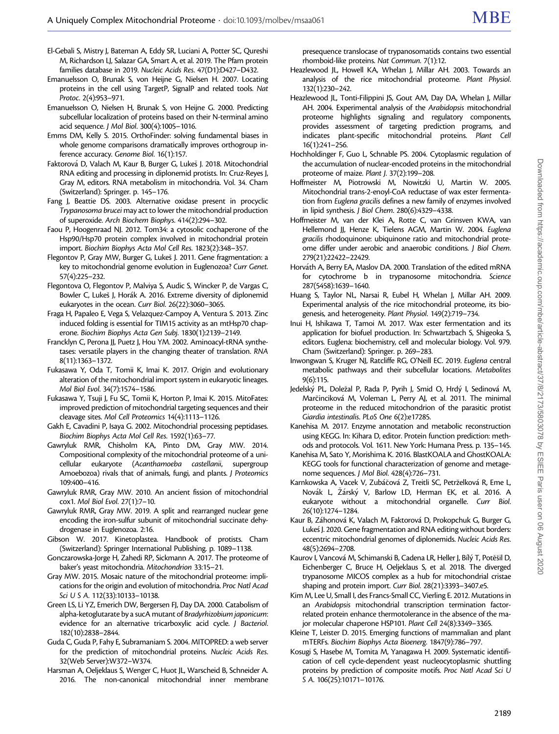- <span id="page-16-0"></span>El-Gebali S, Mistry J, Bateman A, Eddy SR, Luciani A, Potter SC, Qureshi M, Richardson LJ, Salazar GA, Smart A, et al. 2019. The Pfam protein families database in 2019. Nucleic Acids Res. 47(D1):D427–D432.
- Emanuelsson O, Brunak S, von Heijne G, Nielsen H. 2007. Locating proteins in the cell using TargetP, SignalP and related tools. Nat Protoc. 2(4):953–971.
- Emanuelsson O, Nielsen H, Brunak S, von Heijne G. 2000. Predicting subcellular localization of proteins based on their N-terminal amino acid sequence. J Mol Biol. 300(4):1005–1016.
- Emms DM, Kelly S. 2015. OrthoFinder: solving fundamental biases in whole genome comparisons dramatically improves orthogroup inference accuracy. Genome Biol. 16(1):157.
- Faktorová D, Valach M, Kaur B, Burger G, Lukeš J. 2018. Mitochondrial RNA editing and processing in diplonemid protists. In: Cruz-Reyes J, Gray M, editors. RNA metabolism in mitochondria. Vol. 34. Cham (Switzerland): Springer. p. 145–176.
- Fang J, Beattie DS. 2003. Alternative oxidase present in procyclic Trypanosoma brucei may act to lower the mitochondrial production of superoxide. Arch Biochem Biophys. 414(2):294–302.
- Faou P, Hoogenraad NJ. 2012. Tom34: a cytosolic cochaperone of the Hsp90/Hsp70 protein complex involved in mitochondrial protein import. Biochim Biophys Acta Mol Cell Res. 1823(2):348–357.
- Flegontov P, Gray MW, Burger G, Lukeš J. 2011. Gene fragmentation: a key to mitochondrial genome evolution in Euglenozoa? Curr Genet. 57(4):225–232.
- Flegontova O, Flegontov P, Malviya S, Audic S, Wincker P, de Vargas C, Bowler C, Lukeš J, Horák A. 2016. Extreme diversity of diplonemid eukaryotes in the ocean. Curr Biol. 26(22):3060–3065.
- Fraga H, Papaleo E, Vega S, Velazquez-Campoy A, Ventura S. 2013. Zinc induced folding is essential for TIM15 activity as an mtHsp70 chaperone. Biochim Biophys Acta Gen Subj. 1830(1):2139–2149.
- Francklyn C, Perona JJ, Puetz J, Hou YM. 2002. Aminoacyl-tRNA synthetases: versatile players in the changing theater of translation. RNA 8(11):1363–1372.
- Fukasawa Y, Oda T, Tomii K, Imai K. 2017. Origin and evolutionary alteration of the mitochondrial import system in eukaryotic lineages. Mol Biol Evol. 34(7):1574–1586.
- Fukasawa Y, Tsuji J, Fu SC, Tomii K, Horton P, Imai K. 2015. MitoFates: improved prediction of mitochondrial targeting sequences and their cleavage sites. Mol Cell Proteomics 14(4):1113–1126.
- Gakh E, Cavadini P, Isaya G. 2002. Mitochondrial processing peptidases. Biochim Biophys Acta Mol Cell Res. 1592(1):63–77.
- Gawryluk RMR, Chisholm KA, Pinto DM, Gray MW. 2014. Compositional complexity of the mitochondrial proteome of a unicellular eukaryote (Acanthamoeba castellanii, supergroup Amoebozoa) rivals that of animals, fungi, and plants. J Proteomics 109:400–416.
- Gawryluk RMR, Gray MW. 2010. An ancient fission of mitochondrial cox1. Mol Biol Evol. 27(1):7–10.
- Gawryluk RMR, Gray MW. 2019. A split and rearranged nuclear gene encoding the iron-sulfur subunit of mitochondrial succinate dehydrogenase in Euglenozoa. 2:16.
- Gibson W. 2017. Kinetoplastea. Handbook of protists. Cham (Switzerland): Springer International Publishing. p. 1089–1138.
- Gonczarowska-Jorge H, Zahedi RP, Sickmann A. 2017. The proteome of baker's yeast mitochondria. Mitochondrion 33:15–21.
- Gray MW. 2015. Mosaic nature of the mitochondrial proteome: implications for the origin and evolution of mitochondria. Proc Natl Acad Sci U S A. 112(33):10133–10138.
- Green LS, Li YZ, Emerich DW, Bergersen FJ, Day DA. 2000. Catabolism of alpha-ketoglutarate by a sucA mutant of Bradyrhizobium japonicum: evidence for an alternative tricarboxylic acid cycle. J Bacteriol. 182(10):2838–2844.
- Guda C, Guda P, Fahy E, Subramaniam S. 2004. MITOPRED: a web server for the prediction of mitochondrial proteins. Nucleic Acids Res. 32(Web Server):W372–W374.
- Harsman A, Oeljeklaus S, Wenger C, Huot JL, Warscheid B, Schneider A. 2016. The non-canonical mitochondrial inner membrane

presequence translocase of trypanosomatids contains two essential rhomboid-like proteins. Nat Commun. 7(1):12.

- Heazlewood JL, Howell KA, Whelan J, Millar AH. 2003. Towards an analysis of the rice mitochondrial proteome. Plant Physiol. 132(1):230–242.
- Heazlewood JL, Tonti-Filippini JS, Gout AM, Day DA, Whelan J, Millar AH. 2004. Experimental analysis of the Arabidopsis mitochondrial proteome highlights signaling and regulatory components, provides assessment of targeting prediction programs, and indicates plant-specific mitochondrial proteins. Plant Cell 16(1):241–256.
- Hochholdinger F, Guo L, Schnable PS. 2004. Cytoplasmic regulation of the accumulation of nuclear-encoded proteins in the mitochondrial proteome of maize. Plant J. 37(2):199–208.
- Hoffmeister M, Piotrowski M, Nowitzki U, Martin W. 2005. Mitochondrial trans-2-enoyl-CoA reductase of wax ester fermentation from Euglena gracilis defines a new family of enzymes involved in lipid synthesis. J Biol Chem. 280(6):4329–4338.
- Hoffmeister M, van der Klei A, Rotte C, van Grinsven KWA, van Hellemond JJ, Henze K, Tielens AGM, Martin W. 2004. Euglena gracilis rhodoquinone: ubiquinone ratio and mitochondrial proteome differ under aerobic and anaerobic conditions. J Biol Chem. 279(21):22422–22429.
- Horváth A, Berry EA, Maslov DA. 2000. Translation of the edited mRNA for cytochrome b in trypanosome mitochondria. Science 287(5458):1639–1640.
- Huang S, Taylor NL, Narsai R, Eubel H, Whelan J, Millar AH. 2009. Experimental analysis of the rice mitochondrial proteome, its biogenesis, and heterogeneity. Plant Physiol. 149(2):719–734.
- Inui H, Ishikawa T, Tamoi M. 2017. Wax ester fermentation and its application for biofuel production. In: Schwartzbach S, Shigeoka S, editors. Euglena: biochemistry, cell and molecular biology. Vol. 979. Cham (Switzerland): Springer. p. 269–283.
- Inwongwan S, Kruger NJ, Ratcliffe RG, O'Neill EC. 2019. Euglena central metabolic pathways and their subcellular locations. Metabolites 9(6):115.
- Jedelský PL, Doležal P, Rada P, Pyrih J, Smid O, Hrdý I, Sedinová M, Marčinciková M, Voleman L, Perry AJ, et al. 2011. The minimal proteome in the reduced mitochondrion of the parasitic protist Giardia intestinalis. PLoS One 6(2):e17285.
- Kanehisa M. 2017. Enzyme annotation and metabolic reconstruction using KEGG. In: Kihara D, editor. Protein function prediction: methods and protocols. Vol. 1611. New York: Humana Press. p. 135–145.
- Kanehisa M, Sato Y, Morishima K. 2016. BlastKOALA and GhostKOALA: KEGG tools for functional characterization of genome and metagenome sequences. J Mol Biol. 428(4):726–731.
- Karnkowska A, Vacek V, Zubáčová Z, Treitli SC, Petrželková R, Eme L, Novák L, Žárský V, Barlow LD, Herman EK, et al. 2016. A eukaryote without a mitochondrial organelle. Curr Biol. 26(10):1274–1284.
- Kaur B, Záhonová K, Valach M, Faktorová D, Prokopchuk G, Burger G, Lukes J. 2020. Gene fragmentation and RNA editing without borders: eccentric mitochondrial genomes of diplonemids. Nucleic Acids Res. 48(5):2694–2708.
- Kaurov I, Vancová M, Schimanski B, Cadena LR, Heller J, Bílý T, Potěšil D, Eichenberger C, Bruce H, Oeljeklaus S, et al. 2018. The diverged trypanosome MICOS complex as a hub for mitochondrial cristae shaping and protein import. Curr Biol. 28(21):3393–3407.e5.
- Kim M, Lee U, Small I, des Francs-Small CC, Vierling E. 2012. Mutations in an Arabidopsis mitochondrial transcription termination factorrelated protein enhance thermotolerance in the absence of the major molecular chaperone HSP101. Plant Cell 24(8):3349–3365.
- Kleine T, Leister D. 2015. Emerging functions of mammalian and plant mTERFs. Biochim Biophys Acta Bioenerg. 1847(9):786–797.
- Kosugi S, Hasebe M, Tomita M, Yanagawa H. 2009. Systematic identification of cell cycle-dependent yeast nucleocytoplasmic shuttling proteins by prediction of composite motifs. Proc Natl Acad Sci U S A. 106(25):10171–10176.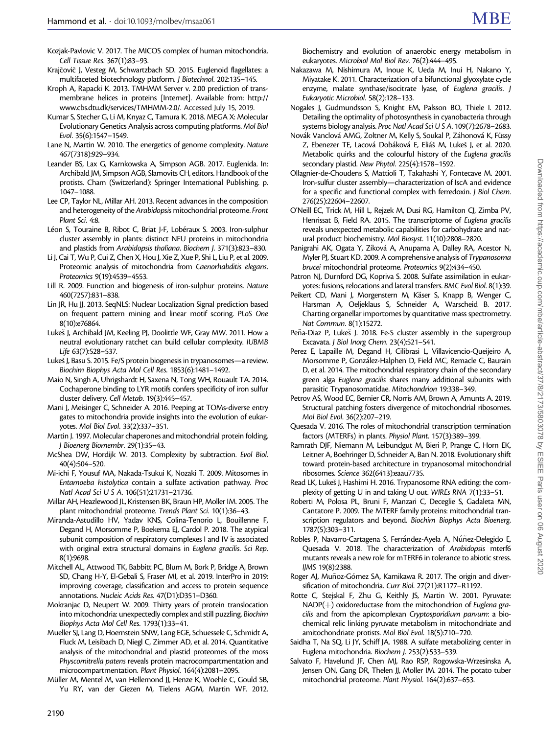- <span id="page-17-0"></span>Kozjak-Pavlovic V. 2017. The MICOS complex of human mitochondria. Cell Tissue Res. 367(1):83–93.
- Krajčovič J, Vesteg M, Schwartzbach SD. 2015. Euglenoid flagellates: a multifaceted biotechnology platform. J Biotechnol. 202:135–145.
- Kroph A, Rapacki K. 2013. TMHMM Server v. 2.00 prediction of transmembrane helices in proteins [Internet]. Available from: [http://](http://www.cbs.dtu.dk/services/TMHMM-2.0/) [www.cbs.dtu.dk/services/TMHMM-2.0/.](http://www.cbs.dtu.dk/services/TMHMM-2.0/) Accessed July 15, 2019.
- Kumar S, Stecher G, Li M, Knyaz C, Tamura K. 2018. MEGA X: Molecular Evolutionary Genetics Analysis across computing platforms. Mol Biol Evol. 35(6):1547–1549.
- Lane N, Martin W. 2010. The energetics of genome complexity. Nature 467(7318):929–934.
- Leander BS, Lax G, Karnkowska A, Simpson AGB. 2017. Euglenida. In: Archibald JM, Simpson AGB, Slamovits CH, editors. Handbook of the protists. Cham (Switzerland): Springer International Publishing. p. 1047–1088.
- Lee CP, Taylor NL, Millar AH. 2013. Recent advances in the composition and heterogeneity of the Arabidopsis mitochondrial proteome. Front Plant Sci. 4:8.
- Léon S, Touraine B, Ribot C, Briat J-F, Lobéraux S. 2003. Iron-sulphur cluster assembly in plants: distinct NFU proteins in mitochondria and plastids from Arabidopsis thaliana. Biochem J. 371(3):823–830.
- Li J, Cai T, Wu P, Cui Z, Chen X, Hou J, Xie Z, Xue P, Shi L, Liu P, et al. 2009. Proteomic analysis of mitochondria from Caenorhabditis elegans. Proteomics 9(19):4539–4553.
- Lill R. 2009. Function and biogenesis of iron-sulphur proteins. Nature 460(7257):831–838.
- Lin JR, Hu JJ. 2013. SeqNLS: Nuclear Localization Signal prediction based on frequent pattern mining and linear motif scoring. PLoS One 8(10):e76864.
- Lukes J, Archibald JM, Keeling PJ, Doolittle WF, Gray MW. 2011. How a neutral evolutionary ratchet can build cellular complexity. IUBMB Life 63(7):528–537.
- Lukes J, Basu S. 2015. Fe/S protein biogenesis in trypanosomes—a review. Biochim Biophys Acta Mol Cell Res. 1853(6):1481–1492.
- Maio N, Singh A, Uhrigshardt H, Saxena N, Tong WH, Rouault TA. 2014. Cochaperone binding to LYR motifs confers specificity of iron sulfur cluster delivery. Cell Metab. 19(3):445–457.
- Mani J, Meisinger C, Schneider A. 2016. Peeping at TOMs-diverse entry gates to mitochondria provide insights into the evolution of eukaryotes. Mol Biol Evol. 33(2):337–351.
- Martin J. 1997. Molecular chaperones and mitochondrial protein folding. J Bioenerg Biomembr. 29(1):35–43.
- McShea DW, Hordijk W. 2013. Complexity by subtraction. Evol Biol. 40(4):504–520.
- Mi-ichi F, Yousuf MA, Nakada-Tsukui K, Nozaki T. 2009. Mitosomes in Entamoeba histolytica contain a sulfate activation pathway. Proc Natl Acad Sci U S A. 106(51):21731–21736.
- Millar AH, Heazlewood JL, Kristensen BK, Braun HP, Moller IM. 2005. The plant mitochondrial proteome. Trends Plant Sci. 10(1):36–43.
- Miranda-Astudillo HV, Yadav KNS, Colina-Tenorio L, Bouillenne F, Degand H, Morsomme P, Boekema EJ, Cardol P. 2018. The atypical subunit composition of respiratory complexes I and IV is associated with original extra structural domains in Euglena gracilis. Sci Rep. 8(1):9698.
- Mitchell AL, Attwood TK, Babbitt PC, Blum M, Bork P, Bridge A, Brown SD, Chang H-Y, El-Gebali S, Fraser MI, et al. 2019. InterPro in 2019: improving coverage, classification and access to protein sequence annotations. Nucleic Acids Res. 47(D1):D351–D360.
- Mokranjac D, Neupert W. 2009. Thirty years of protein translocation into mitochondria: unexpectedly complex and still puzzling. Biochim Biophys Acta Mol Cell Res. 1793(1):33–41.
- Mueller SJ, Lang D, Hoernstein SNW, Lang EGE, Schuessele C, Schmidt A, Fluck M, Leisibach D, Niegl C, Zimmer AD, et al. 2014. Quantitative analysis of the mitochondrial and plastid proteomes of the moss Physcomitrella patens reveals protein macrocompartmentation and microcompartmentation. Plant Physiol. 164(4):2081–2095.
- Müller M, Mentel M, van Hellemond JJ, Henze K, Woehle C, Gould SB, Yu RY, van der Giezen M, Tielens AGM, Martin WF. 2012.

Biochemistry and evolution of anaerobic energy metabolism in eukaryotes. Microbiol Mol Biol Rev. 76(2):444–495.

- Nakazawa M, Nishimura M, Inoue K, Ueda M, Inui H, Nakano Y, Miyatake K. 2011. Characterization of a bifunctional glyoxylate cycle enzyme, malate synthase/isocitrate lyase, of Euglena gracilis. J Eukaryotic Microbiol. 58(2):128–133.
- Nogales J, Gudmundsson S, Knight EM, Palsson BO, Thiele I. 2012. Detailing the optimality of photosynthesis in cyanobacteria through systems biology analysis. Proc Natl Acad Sci U S A. 109(7):2678–2683.
- Novák Vanclová AMG, Zoltner M, Kelly S, Soukal P, Záhonová K, Füssy Z, Ebenezer TE, Lacová Dobáková E, Eliáš M, Lukeš J, et al. 2020. Metabolic quirks and the colourful history of the Euglena gracilis secondary plastid. New Phytol. 225(4):1578–1592.
- Ollagnier-de-Choudens S, Mattioli T, Takahashi Y, Fontecave M. 2001. Iron-sulfur cluster assembly—characterization of IscA and evidence for a specific and functional complex with ferredoxin. J Biol Chem. 276(25):22604–22607.
- O'Neill EC, Trick M, Hill L, Rejzek M, Dusi RG, Hamilton CJ, Zimba PV, Henrissat B, Field RA. 2015. The transcriptome of Euglena gracilis reveals unexpected metabolic capabilities for carbohydrate and natural product biochemistry. Mol Biosyst. 11(10):2808–2820.
- Panigrahi AK, Ogata Y, Zíková A, Anupama A, Dalley RA, Acestor N, Myler PJ, Stuart KD. 2009. A comprehensive analysis of Trypanosoma brucei mitochondrial proteome. Proteomics 9(2):434–450.
- Patron NJ, Durnford DG, Kopriva S. 2008. Sulfate assimilation in eukaryotes: fusions, relocations and lateral transfers. BMC Evol Biol. 8(1):39.
- Peikert CD, Mani J, Morgenstern M, Käser S, Knapp B, Wenger C, Harsman A, Oeljeklaus S, Schneider A, Warscheid B. 2017. Charting organellar importomes by quantitative mass spectrometry. Nat Commun. 8(1):15272.
- Peña-Diaz P, Lukeš J. 2018. Fe-S cluster assembly in the supergroup Excavata. J Biol Inorg Chem. 23(4):521–541.
- Perez E, Lapaille M, Degand H, Cilibrasi L, Villavicencio-Queijeiro A, Morsomme P, González-Halphen D, Field MC, Remacle C, Baurain D, et al. 2014. The mitochondrial respiratory chain of the secondary green alga Euglena gracilis shares many additional subunits with parasitic Trypanosomatidae. Mitochondrion 19:338–349.
- Petrov AS, Wood EC, Bernier CR, Norris AM, Brown A, Amunts A. 2019. Structural patching fosters divergence of mitochondrial ribosomes. Mol Biol Evol. 36(2):207–219.
- Quesada V. 2016. The roles of mitochondrial transcription termination factors (MTERFs) in plants. Physiol Plant. 157(3):389–399.
- Ramrath DJF, Niemann M, Leibundgut M, Bieri P, Prange C, Horn EK, Leitner A, Boehringer D, Schneider A, Ban N. 2018. Evolutionary shift toward protein-based architecture in trypanosomal mitochondrial ribosomes. Science 362(6413):eaau7735.
- Read LK, Lukeš J, Hashimi H. 2016. Trypanosome RNA editing: the complexity of getting U in and taking U out. WIREs RNA 7(1):33–51.
- Roberti M, Polosa PL, Bruni F, Manzari C, Deceglie S, Gadaleta MN, Cantatore P. 2009. The MTERF family proteins: mitochondrial transcription regulators and beyond. Biochim Biophys Acta Bioenerg. 1787(5):303–311.
- Robles P, Navarro-Cartagena S, Ferrández-Ayela A, Núñez-Delegido E, Quesada V. 2018. The characterization of Arabidopsis mterf6 mutants reveals a new role for mTERF6 in tolerance to abiotic stress. IJMS 19(8):2388.
- Roger AJ, Muñoz-Gómez SA, Kamikawa R. 2017. The origin and diversification of mitochondria. Curr Biol. 27(21):R1177–R1192.
- Rotte C, Stejskal F, Zhu G, Keithly JS, Martin W. 2001. Pyruvate:  $NADP(+)$  oxidoreductase from the mitochondrion of Euglena gracilis and from the apicomplexan Cryptosporidium parvum: a biochemical relic linking pyruvate metabolism in mitochondriate and amitochondriate protists. Mol Biol Evol. 18(5):710–720.
- Saidha T, Na SQ, Li JY, Schiff JA. 1988. A sulfate metabolizing center in Euglena mitochondria. Biochem J. 253(2):533–539.
- Salvato F, Havelund JF, Chen MJ, Rao RSP, Rogowska-Wrzesinska A, Jensen ON, Gang DR, Thelen JJ, Moller IM. 2014. The potato tuber mitochondrial proteome. Plant Physiol. 164(2):637–653.